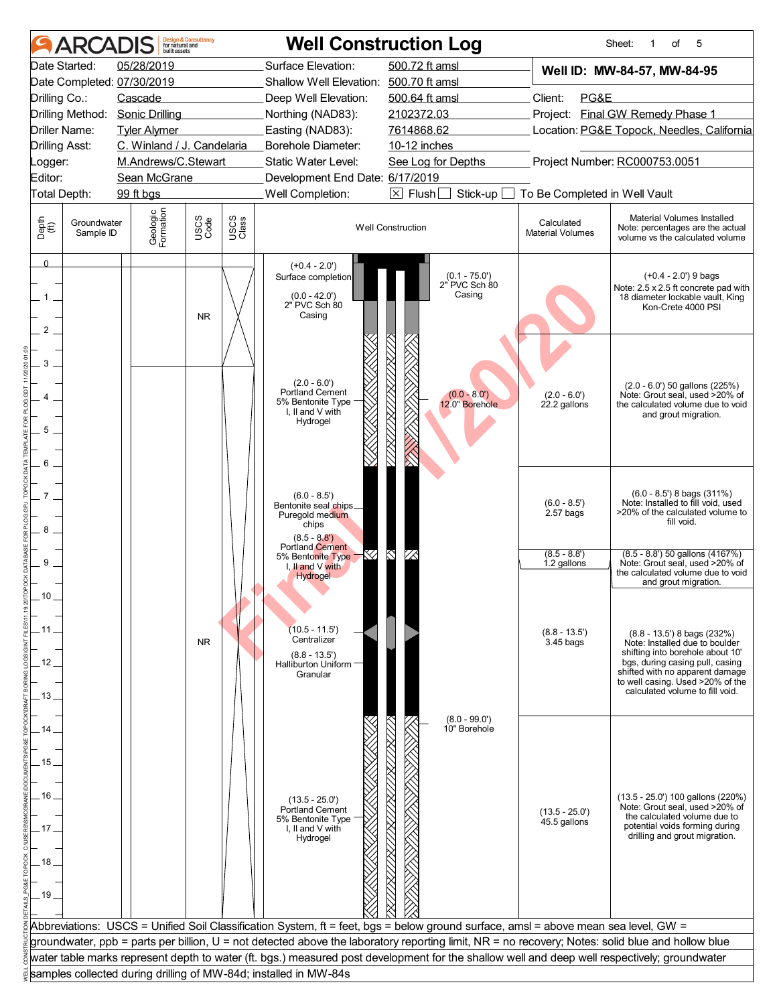|                                | ARCADIS                                                                                                              | built assets                    | <b>Design &amp; Consultancy</b><br>for natural and |               |                                                                                                                                     | <b>Well Construction Log</b>                                                                                                                     |                                                 | Sheet:<br>of<br>5<br>1                                                                                                                                                                                                                            |  |  |  |  |
|--------------------------------|----------------------------------------------------------------------------------------------------------------------|---------------------------------|----------------------------------------------------|---------------|-------------------------------------------------------------------------------------------------------------------------------------|--------------------------------------------------------------------------------------------------------------------------------------------------|-------------------------------------------------|---------------------------------------------------------------------------------------------------------------------------------------------------------------------------------------------------------------------------------------------------|--|--|--|--|
|                                | Date Started:                                                                                                        | 05/28/2019                      |                                                    |               | Surface Elevation:                                                                                                                  | 500.72 ft amsl                                                                                                                                   |                                                 | Well ID: MW-84-57, MW-84-95                                                                                                                                                                                                                       |  |  |  |  |
|                                |                                                                                                                      | Date Completed: 07/30/2019      |                                                    |               | Shallow Well Elevation: 500.70 ft amsl                                                                                              |                                                                                                                                                  |                                                 |                                                                                                                                                                                                                                                   |  |  |  |  |
| Drilling Co.:                  |                                                                                                                      | Cascade                         |                                                    |               | Deep Well Elevation:                                                                                                                | 500.64 ft amsl                                                                                                                                   | Client:<br>PG&E                                 |                                                                                                                                                                                                                                                   |  |  |  |  |
|                                |                                                                                                                      | Drilling Method: Sonic Drilling |                                                    |               | Northing (NAD83):                                                                                                                   | 2102372.03                                                                                                                                       |                                                 | Project: Final GW Remedy Phase 1                                                                                                                                                                                                                  |  |  |  |  |
|                                | Driller Name:                                                                                                        | <b>Tyler Alymer</b>             |                                                    |               | Easting (NAD83):                                                                                                                    | 7614868.62                                                                                                                                       | Location: PG&E Topock, Needles, California      |                                                                                                                                                                                                                                                   |  |  |  |  |
| <b>Drilling Asst:</b>          |                                                                                                                      | C. Winland / J. Candelaria      |                                                    |               | Borehole Diameter:                                                                                                                  | 10-12 inches                                                                                                                                     |                                                 |                                                                                                                                                                                                                                                   |  |  |  |  |
| Logger:                        |                                                                                                                      | M.Andrews/C.Stewart             |                                                    |               | Static Water Level:                                                                                                                 | See Log for Depths                                                                                                                               |                                                 | Project Number: RC000753.0051                                                                                                                                                                                                                     |  |  |  |  |
| Editor:                        |                                                                                                                      | Sean McGrane                    |                                                    |               | Development End Date: 6/17/2019                                                                                                     |                                                                                                                                                  |                                                 |                                                                                                                                                                                                                                                   |  |  |  |  |
|                                | Well Completion:<br>$\boxed{\times}$ Flush<br>Total Depth:<br>99 ft bgs<br>Stick-up<br>To Be Completed in Well Vault |                                 |                                                    |               |                                                                                                                                     |                                                                                                                                                  |                                                 |                                                                                                                                                                                                                                                   |  |  |  |  |
| Depth<br>$\bigoplus_{i=1}^{n}$ | Groundwater<br>Sample ID                                                                                             | Geologic<br>Formation           | USCS<br>Code                                       | USCS<br>Class |                                                                                                                                     | <b>Well Construction</b>                                                                                                                         | Calculated<br><b>Material Volumes</b>           | Material Volumes Installed<br>Note: percentages are the actual<br>volume vs the calculated volume                                                                                                                                                 |  |  |  |  |
| $\Omega$<br>1<br>2             |                                                                                                                      |                                 | <b>NR</b>                                          |               | $(+0.4 - 2.0')$<br>Surface completion<br>$(0.0 - 42.0')$<br>2" PVC Sch 80<br>Casing                                                 | $(0.1 - 75.0')$<br>2" PVC Sch 80<br>Casing                                                                                                       |                                                 | $(+0.4 - 2.0)$ 9 bags<br>Note: 2.5 x 2.5 ft concrete pad with<br>18 diameter lockable vault, King<br>Kon-Crete 4000 PSI                                                                                                                           |  |  |  |  |
| 3<br>5<br>6                    |                                                                                                                      |                                 |                                                    |               | $(2.0 - 6.0')$<br>Portland Cement<br>5% Bentonite Type<br>I, II and V with<br>Hydrogel                                              | $(0.0 - 8.0')$<br>12.0" Borehole                                                                                                                 | $(2.0 - 6.0')$<br>22.2 gallons                  | $(2.0 - 6.0')$ 50 gallons $(225%)$<br>Note: Grout seal, used >20% of<br>the calculated volume due to void<br>and grout migration.                                                                                                                 |  |  |  |  |
| $\overline{7}$<br>8            |                                                                                                                      |                                 |                                                    |               | $(6.0 - 8.5)$<br>Bentonite seal chips_<br>Puregold medium<br>chips<br>$(8.5 - 8.8')$<br><b>Portland Cement</b><br>5% Bentonite Type |                                                                                                                                                  | $(6.0 - 8.5')$<br>$2.57$ bags<br>$(8.5 - 8.8')$ | $(6.0 - 8.5)$ 8 bags $(311%)$<br>Note: Installed to fill void, used<br>>20% of the calculated volume to<br>fill void.<br>$(8.5 - 8.8')$ 50 gallons $(4167%)$                                                                                      |  |  |  |  |
| 9<br>ΊΨ                        |                                                                                                                      |                                 |                                                    |               | I, II and $V$ with<br>Hydrogel                                                                                                      |                                                                                                                                                  | 1.2 gallons                                     | Note: Grout seal, used >20% of<br>the calculated volume due to void<br>and grout migration.                                                                                                                                                       |  |  |  |  |
| 11<br>12 <sub>1</sub>          |                                                                                                                      |                                 | <b>NR</b>                                          |               | $(10.5 - 11.5)$<br>Centralizer<br>$(8.8 - 13.5')$<br>Halliburton Uniform -<br>Granular                                              |                                                                                                                                                  | $(8.8 - 13.5')$<br>3.45 bags                    | $(8.8 - 13.5)$ 8 bags $(232%)$<br>Note: Installed due to boulder<br>shifting into borehole about 10'<br>bgs, during casing pull, casing<br>shifted with no apparent damage<br>to well casing. Used >20% of the<br>calculated volume to fill void. |  |  |  |  |
| . 13.                          |                                                                                                                      |                                 |                                                    |               |                                                                                                                                     |                                                                                                                                                  |                                                 |                                                                                                                                                                                                                                                   |  |  |  |  |
|                                |                                                                                                                      |                                 |                                                    |               |                                                                                                                                     | $(8.0 - 99.0')$                                                                                                                                  |                                                 |                                                                                                                                                                                                                                                   |  |  |  |  |
| 14                             |                                                                                                                      |                                 |                                                    |               |                                                                                                                                     | 10" Borehole                                                                                                                                     |                                                 |                                                                                                                                                                                                                                                   |  |  |  |  |
|                                |                                                                                                                      |                                 |                                                    |               |                                                                                                                                     |                                                                                                                                                  |                                                 |                                                                                                                                                                                                                                                   |  |  |  |  |
| . 15 .                         |                                                                                                                      |                                 |                                                    |               |                                                                                                                                     |                                                                                                                                                  |                                                 |                                                                                                                                                                                                                                                   |  |  |  |  |
|                                |                                                                                                                      |                                 |                                                    |               |                                                                                                                                     |                                                                                                                                                  |                                                 |                                                                                                                                                                                                                                                   |  |  |  |  |
| . 16                           |                                                                                                                      |                                 |                                                    |               | $(13.5 - 25.0')$                                                                                                                    |                                                                                                                                                  |                                                 | (13.5 - 25.0') 100 gallons (220%)<br>Note: Grout seal, used >20% of                                                                                                                                                                               |  |  |  |  |
| 17                             |                                                                                                                      |                                 |                                                    |               | <b>Portland Cement</b><br>5% Bentonite Type<br>I, II and V with                                                                     |                                                                                                                                                  | $(13.5 - 25.0')$<br>45.5 gallons                | the calculated volume due to<br>potential voids forming during                                                                                                                                                                                    |  |  |  |  |
|                                |                                                                                                                      |                                 |                                                    |               | Hydrogel                                                                                                                            |                                                                                                                                                  |                                                 | drilling and grout migration.                                                                                                                                                                                                                     |  |  |  |  |
|                                |                                                                                                                      |                                 |                                                    |               |                                                                                                                                     |                                                                                                                                                  |                                                 |                                                                                                                                                                                                                                                   |  |  |  |  |
| 18 <sub>1</sub>                |                                                                                                                      |                                 |                                                    |               |                                                                                                                                     |                                                                                                                                                  |                                                 |                                                                                                                                                                                                                                                   |  |  |  |  |
|                                |                                                                                                                      |                                 |                                                    |               |                                                                                                                                     |                                                                                                                                                  |                                                 |                                                                                                                                                                                                                                                   |  |  |  |  |
| $-19.$                         |                                                                                                                      |                                 |                                                    |               |                                                                                                                                     |                                                                                                                                                  |                                                 |                                                                                                                                                                                                                                                   |  |  |  |  |
|                                |                                                                                                                      |                                 |                                                    |               |                                                                                                                                     |                                                                                                                                                  |                                                 |                                                                                                                                                                                                                                                   |  |  |  |  |
|                                |                                                                                                                      |                                 |                                                    |               |                                                                                                                                     | Abbreviations: USCS = Unified Soil Classification System, ft = feet, bgs = below ground surface, amsl = above mean sea level, GW =               |                                                 |                                                                                                                                                                                                                                                   |  |  |  |  |
|                                |                                                                                                                      |                                 |                                                    |               |                                                                                                                                     | groundwater, ppb = parts per billion, U = not detected above the laboratory reporting limit, NR = no recovery; Notes: solid blue and hollow blue |                                                 |                                                                                                                                                                                                                                                   |  |  |  |  |
|                                |                                                                                                                      |                                 |                                                    |               |                                                                                                                                     | water table marks represent depth to water (ft. bgs.) measured post development for the shallow well and deep well respectively; groundwater     |                                                 |                                                                                                                                                                                                                                                   |  |  |  |  |
|                                |                                                                                                                      |                                 |                                                    |               | samples collected during drilling of MW-84d; installed in MW-84s                                                                    |                                                                                                                                                  |                                                 |                                                                                                                                                                                                                                                   |  |  |  |  |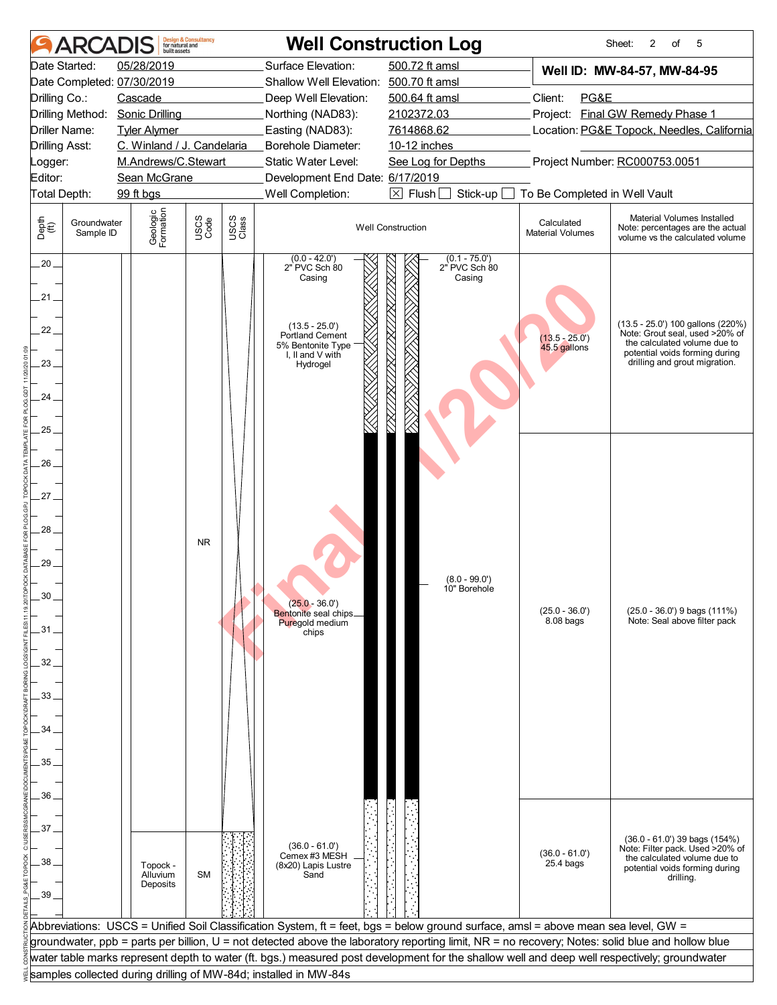|                       | <b>ARCADIS</b>           | built assets               | <b>Design &amp; Consultancy</b><br>for natural and |               |                                                                             | <b>Well Construction Log</b>                                                                                                                     |                                       | Sheet:<br>2<br>of<br>5                                                                            |
|-----------------------|--------------------------|----------------------------|----------------------------------------------------|---------------|-----------------------------------------------------------------------------|--------------------------------------------------------------------------------------------------------------------------------------------------|---------------------------------------|---------------------------------------------------------------------------------------------------|
|                       | Date Started:            | 05/28/2019                 |                                                    |               | Surface Elevation:                                                          | 500.72 ft amsl                                                                                                                                   |                                       | Well ID: MW-84-57, MW-84-95                                                                       |
|                       |                          | Date Completed: 07/30/2019 |                                                    |               | Shallow Well Elevation: 500.70 ft amsl                                      |                                                                                                                                                  |                                       |                                                                                                   |
| Drilling Co.:         |                          | Cascade                    |                                                    |               | Deep Well Elevation:                                                        | 500.64 ft amsl                                                                                                                                   | Client:<br>PG&E                       |                                                                                                   |
|                       | Drilling Method:         | <b>Sonic Drilling</b>      |                                                    |               | Northing (NAD83):                                                           | 2102372.03                                                                                                                                       |                                       | Project: Final GW Remedy Phase 1                                                                  |
|                       | Driller Name:            | <b>Tyler Alymer</b>        |                                                    |               | Easting (NAD83):                                                            | 7614868.62                                                                                                                                       |                                       | Location: PG&E Topock, Needles, California                                                        |
| <b>Drilling Asst:</b> |                          | C. Winland / J. Candelaria |                                                    |               | <b>Borehole Diameter:</b>                                                   | 10-12 inches                                                                                                                                     |                                       |                                                                                                   |
| Logger:               |                          | M.Andrews/C.Stewart        |                                                    |               | Static Water Level:                                                         | See Log for Depths                                                                                                                               |                                       | Project Number: RC000753.0051                                                                     |
| Editor:               |                          | Sean McGrane               |                                                    |               | Development End Date: 6/17/2019                                             |                                                                                                                                                  |                                       |                                                                                                   |
| Total Depth:          |                          | 99 ft bgs                  |                                                    |               | Well Completion:                                                            | $\boxtimes$ Flush [<br>Stick-up                                                                                                                  | To Be Completed in Well Vault         |                                                                                                   |
|                       |                          |                            |                                                    |               |                                                                             |                                                                                                                                                  |                                       |                                                                                                   |
| Depth<br>(ff)         | Groundwater<br>Sample ID | Geologic<br>Formation      | USCS<br>Code                                       | USCS<br>Class |                                                                             | <b>Well Construction</b>                                                                                                                         | Calculated<br><b>Material Volumes</b> | Material Volumes Installed<br>Note: percentages are the actual<br>volume vs the calculated volume |
| $20 -$                |                          |                            |                                                    |               | $(0.0 - 42.0)$<br>2" PVC Sch 80<br>Casing                                   | $(0.1 - 75.0')$<br>2" PVC Sch 80<br>Casing                                                                                                       |                                       |                                                                                                   |
| .21 .<br>22.          |                          |                            |                                                    |               | $(13.5 - 25.0')$                                                            |                                                                                                                                                  |                                       | (13.5 - 25.0') 100 gallons (220%)<br>Note: Grout seal, used >20% of                               |
| 23                    |                          |                            |                                                    |               | <b>Portland Cement</b><br>5% Bentonite Type<br>I, II and V with<br>Hydrogel |                                                                                                                                                  | $(13.5 - 25.0')$<br>45.5 gallons      | the calculated volume due to<br>potential voids forming during<br>drilling and grout migration.   |
| 24                    |                          |                            |                                                    |               |                                                                             |                                                                                                                                                  |                                       |                                                                                                   |
| 25.                   |                          |                            |                                                    |               |                                                                             |                                                                                                                                                  |                                       |                                                                                                   |
|                       |                          |                            |                                                    |               |                                                                             |                                                                                                                                                  |                                       |                                                                                                   |
| 26                    |                          |                            |                                                    |               |                                                                             |                                                                                                                                                  |                                       |                                                                                                   |
|                       |                          |                            |                                                    |               |                                                                             |                                                                                                                                                  |                                       |                                                                                                   |
| .27                   |                          |                            |                                                    |               |                                                                             |                                                                                                                                                  |                                       |                                                                                                   |
|                       |                          |                            |                                                    |               |                                                                             |                                                                                                                                                  |                                       |                                                                                                   |
|                       |                          |                            |                                                    |               |                                                                             |                                                                                                                                                  |                                       |                                                                                                   |
| 28                    |                          |                            | <b>NR</b>                                          |               |                                                                             |                                                                                                                                                  |                                       |                                                                                                   |
|                       |                          |                            |                                                    |               |                                                                             |                                                                                                                                                  |                                       |                                                                                                   |
| 29                    |                          |                            |                                                    |               |                                                                             |                                                                                                                                                  |                                       |                                                                                                   |
|                       |                          |                            |                                                    |               |                                                                             | $(8.0 - 99.0')$<br>10" Borehole                                                                                                                  |                                       |                                                                                                   |
|                       |                          |                            |                                                    |               | $(25.0 - 36.0')$                                                            |                                                                                                                                                  |                                       |                                                                                                   |
|                       |                          |                            |                                                    |               | Bentonite seal chips_<br>Puregold medium                                    |                                                                                                                                                  | $(25.0 - 36.0')$<br>$8.08$ bags       | (25.0 - 36.0') 9 bags (111%)<br>Note: Seal above filter pack                                      |
| .31                   |                          |                            |                                                    |               | chips                                                                       |                                                                                                                                                  |                                       |                                                                                                   |
|                       |                          |                            |                                                    |               |                                                                             |                                                                                                                                                  |                                       |                                                                                                   |
| 32                    |                          |                            |                                                    |               |                                                                             |                                                                                                                                                  |                                       |                                                                                                   |
|                       |                          |                            |                                                    |               |                                                                             |                                                                                                                                                  |                                       |                                                                                                   |
| 33                    |                          |                            |                                                    |               |                                                                             |                                                                                                                                                  |                                       |                                                                                                   |
|                       |                          |                            |                                                    |               |                                                                             |                                                                                                                                                  |                                       |                                                                                                   |
| 34                    |                          |                            |                                                    |               |                                                                             |                                                                                                                                                  |                                       |                                                                                                   |
|                       |                          |                            |                                                    |               |                                                                             |                                                                                                                                                  |                                       |                                                                                                   |
| 35                    |                          |                            |                                                    |               |                                                                             |                                                                                                                                                  |                                       |                                                                                                   |
|                       |                          |                            |                                                    |               |                                                                             |                                                                                                                                                  |                                       |                                                                                                   |
| 36                    |                          |                            |                                                    |               |                                                                             |                                                                                                                                                  |                                       |                                                                                                   |
|                       |                          |                            |                                                    |               |                                                                             |                                                                                                                                                  |                                       |                                                                                                   |
| 37                    |                          |                            |                                                    |               |                                                                             |                                                                                                                                                  |                                       |                                                                                                   |
|                       |                          |                            |                                                    |               | $(36.0 - 61.0)$                                                             |                                                                                                                                                  |                                       | $(36.0 - 61.0')$ 39 bags $(154%)$<br>Note: Filter pack. Used >20% of                              |
| 38.                   |                          |                            |                                                    |               | Cemex #3 MESH                                                               |                                                                                                                                                  | $(36.0 - 61.0')$<br>$25.4$ bags       | the calculated volume due to                                                                      |
|                       |                          | Topock -<br>Alluvium       | <b>SM</b>                                          |               | (8x20) Lapis Lustre<br>Sand                                                 |                                                                                                                                                  |                                       | potential voids forming during<br>drilling.                                                       |
| .39                   |                          | Deposits                   |                                                    |               |                                                                             |                                                                                                                                                  |                                       |                                                                                                   |
|                       |                          |                            |                                                    |               |                                                                             |                                                                                                                                                  |                                       |                                                                                                   |
|                       |                          |                            |                                                    |               |                                                                             | Abbreviations: USCS = Unified Soil Classification System, ft = feet, bgs = below ground surface, amsl = above mean sea level, GW =               |                                       |                                                                                                   |
|                       |                          |                            |                                                    |               |                                                                             | groundwater, ppb = parts per billion, U = not detected above the laboratory reporting limit, NR = no recovery; Notes: solid blue and hollow blue |                                       |                                                                                                   |
|                       |                          |                            |                                                    |               |                                                                             | water table marks represent depth to water (ft. bgs.) measured post development for the shallow well and deep well respectively; groundwater     |                                       |                                                                                                   |
|                       |                          |                            |                                                    |               | samples collected during drilling of MW-84d; installed in MW-84s            |                                                                                                                                                  |                                       |                                                                                                   |
|                       |                          |                            |                                                    |               |                                                                             |                                                                                                                                                  |                                       |                                                                                                   |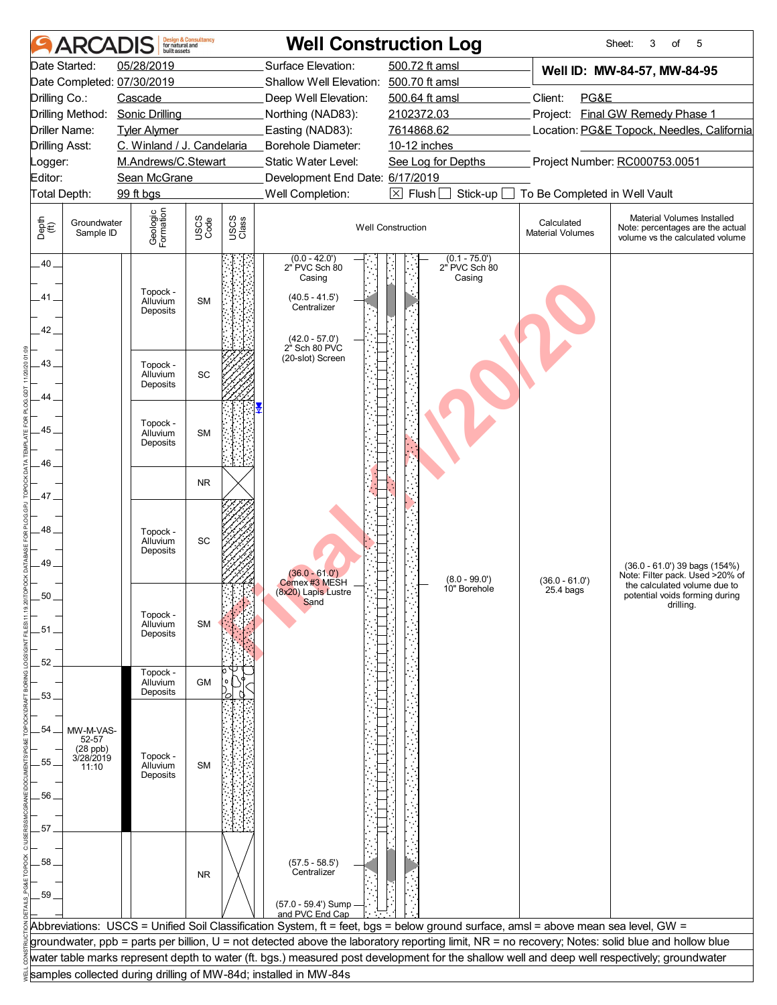|                                | <b>ARCADIS</b>                                       | built assets                     | <b>Design &amp; Consultancy</b><br>for natural and |               |                                                                                                                 | <b>Well Construction Log</b>                                                                                                                     |                                       | Sheet:<br>3<br>5<br>of                                                                            |  |  |
|--------------------------------|------------------------------------------------------|----------------------------------|----------------------------------------------------|---------------|-----------------------------------------------------------------------------------------------------------------|--------------------------------------------------------------------------------------------------------------------------------------------------|---------------------------------------|---------------------------------------------------------------------------------------------------|--|--|
|                                | Date Started:                                        | 05/28/2019                       |                                                    |               | Surface Elevation:                                                                                              | 500.72 ft amsl                                                                                                                                   |                                       | Well ID: MW-84-57, MW-84-95                                                                       |  |  |
|                                |                                                      | Date Completed: 07/30/2019       |                                                    |               | Shallow Well Elevation:                                                                                         | 500.70 ft amsl                                                                                                                                   |                                       |                                                                                                   |  |  |
| Drilling Co.:                  |                                                      | Cascade                          |                                                    |               | Deep Well Elevation:                                                                                            | 500.64 ft amsl                                                                                                                                   | Client:<br>PG&E                       |                                                                                                   |  |  |
|                                | Drilling Method:                                     | <b>Sonic Drilling</b>            |                                                    |               | Northing (NAD83):                                                                                               | 2102372.03                                                                                                                                       |                                       | Project: Final GW Remedy Phase 1                                                                  |  |  |
|                                | Driller Name:                                        | <b>Tyler Alymer</b>              |                                                    |               | Easting (NAD83):                                                                                                | 7614868.62                                                                                                                                       |                                       | Location: PG&E Topock, Needles, California                                                        |  |  |
| <b>Drilling Asst:</b>          |                                                      | C. Winland / J. Candelaria       |                                                    |               | Borehole Diameter:                                                                                              | 10-12 inches                                                                                                                                     |                                       |                                                                                                   |  |  |
| _ogger:                        |                                                      | M.Andrews/C.Stewart              |                                                    |               | Static Water Level:                                                                                             | See Log for Depths                                                                                                                               |                                       | Project Number: RC000753.0051                                                                     |  |  |
| Editor:                        |                                                      | Sean McGrane                     |                                                    |               | Development End Date: 6/17/2019                                                                                 |                                                                                                                                                  |                                       |                                                                                                   |  |  |
|                                | Total Depth:                                         | 99 ft bgs                        |                                                    |               | Well Completion:                                                                                                | $\boxtimes$ Flush [<br>Stick-up                                                                                                                  | To Be Completed in Well Vault         |                                                                                                   |  |  |
| Depth<br>$\bigoplus_{i=1}^{n}$ | Groundwater<br>Sample ID                             | Geologic<br>Formation            | USCS<br>Code                                       | USCS<br>Class |                                                                                                                 | <b>Well Construction</b>                                                                                                                         | Calculated<br><b>Material Volumes</b> | Material Volumes Installed<br>Note: percentages are the actual<br>volume vs the calculated volume |  |  |
| $.40 -$<br>41 .<br>$42-$       |                                                      | Topock -<br>Alluvium<br>Deposits | <b>SM</b>                                          |               | $(0.0 - 42.0)$<br>2" PVC Sch 80<br>Casing<br>$(40.5 - 41.5)$<br>Centralizer<br>$(42.0 - 57.0)$<br>2" Sch 80 PVC | $(0.1 - 75.0')$<br>2" PVC Sch 80<br>Casing                                                                                                       |                                       |                                                                                                   |  |  |
| 43.                            |                                                      | Topock -<br>Alluvium<br>Deposits | SC                                                 |               | (20-slot) Screen                                                                                                |                                                                                                                                                  |                                       |                                                                                                   |  |  |
| 44.                            |                                                      |                                  |                                                    |               |                                                                                                                 |                                                                                                                                                  |                                       |                                                                                                   |  |  |
| 45                             |                                                      | Topock -<br>Alluvium<br>Deposits | <b>SM</b>                                          |               |                                                                                                                 |                                                                                                                                                  |                                       |                                                                                                   |  |  |
| 46                             |                                                      |                                  | <b>NR</b>                                          |               |                                                                                                                 |                                                                                                                                                  |                                       |                                                                                                   |  |  |
| 47_                            |                                                      |                                  |                                                    |               |                                                                                                                 |                                                                                                                                                  |                                       |                                                                                                   |  |  |
| 48.<br>49                      |                                                      | Topock -<br>Alluvium<br>Deposits | SC                                                 |               | $(36.0 - 61.0')$<br>Cemex #3 MESH                                                                               | $(8.0 - 99.0')$                                                                                                                                  | $(36.0 - 61.0')$                      | (36.0 - 61.0') 39 bags (154%)<br>Note: Filter pack. Used >20% of<br>the calculated volume due to  |  |  |
| 50<br>.51.<br>52               |                                                      | Topock -<br>Alluvium<br>Deposits | <b>SM</b>                                          |               | (8x20) Lapis Lustre<br>Sand                                                                                     | 10" Borehole                                                                                                                                     | $25.4$ bags                           | potential voids forming during<br>drilling.                                                       |  |  |
| 53.                            |                                                      | Topock -<br>Alluvium<br>Deposits | <b>GM</b>                                          |               |                                                                                                                 |                                                                                                                                                  |                                       |                                                                                                   |  |  |
| 54<br>55.<br>56.               | MW-M-VAS-<br>52-57<br>(28 ppb)<br>3/28/2019<br>11:10 | Topock -<br>Alluvium<br>Deposits | <b>SM</b>                                          |               |                                                                                                                 |                                                                                                                                                  |                                       |                                                                                                   |  |  |
| 57                             |                                                      |                                  |                                                    |               |                                                                                                                 |                                                                                                                                                  |                                       |                                                                                                   |  |  |
|                                |                                                      |                                  |                                                    |               |                                                                                                                 |                                                                                                                                                  |                                       |                                                                                                   |  |  |
| 58.                            |                                                      |                                  | <b>NR</b>                                          |               | $(57.5 - 58.5')$<br>Centralizer                                                                                 |                                                                                                                                                  |                                       |                                                                                                   |  |  |
| 59.                            |                                                      |                                  |                                                    |               | (57.0 - 59.4') Sump<br>and PVC End Cap                                                                          |                                                                                                                                                  |                                       |                                                                                                   |  |  |
|                                |                                                      |                                  |                                                    |               |                                                                                                                 | Abbreviations: USCS = Unified Soil Classification System, ft = feet, bgs = below ground surface, amsl = above mean sea level, GW =               |                                       |                                                                                                   |  |  |
|                                |                                                      |                                  |                                                    |               |                                                                                                                 | groundwater, ppb = parts per billion, U = not detected above the laboratory reporting limit, NR = no recovery; Notes: solid blue and hollow blue |                                       |                                                                                                   |  |  |
|                                |                                                      |                                  |                                                    |               |                                                                                                                 | water table marks represent depth to water (ft. bgs.) measured post development for the shallow well and deep well respectively; groundwater     |                                       |                                                                                                   |  |  |
|                                |                                                      |                                  |                                                    |               | samples collected during drilling of MW-84d; installed in MW-84s                                                |                                                                                                                                                  |                                       |                                                                                                   |  |  |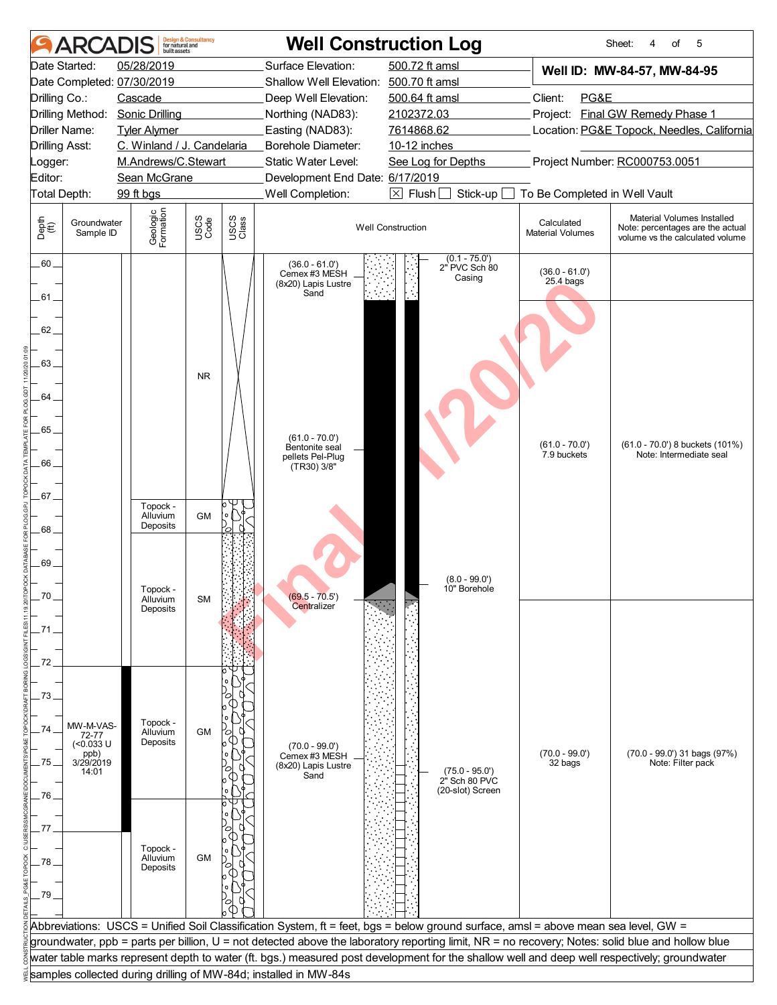|               | <b>ARCAI</b>             | built assets               | <b>Design &amp; Consultancy</b><br>for natural and |               |                                                                  | <b>Well Construction Log</b>                                                                                                                     |                                       | Sheet:<br>of<br>5<br>4                                                                            |  |
|---------------|--------------------------|----------------------------|----------------------------------------------------|---------------|------------------------------------------------------------------|--------------------------------------------------------------------------------------------------------------------------------------------------|---------------------------------------|---------------------------------------------------------------------------------------------------|--|
|               | Date Started:            | 05/28/2019                 |                                                    |               | Surface Elevation:                                               | 500.72 ft amsl                                                                                                                                   |                                       | Well ID: MW-84-57, MW-84-95                                                                       |  |
|               |                          | Date Completed: 07/30/2019 |                                                    |               | Shallow Well Elevation: 500.70 ft amsl                           |                                                                                                                                                  |                                       |                                                                                                   |  |
| Drilling Co.: |                          | Cascade                    |                                                    |               | Deep Well Elevation:                                             | 500.64 ft amsl                                                                                                                                   | Client:<br>PG&E                       |                                                                                                   |  |
|               | Drilling Method:         | <b>Sonic Drilling</b>      |                                                    |               | Northing (NAD83):                                                | 2102372.03                                                                                                                                       |                                       | Project: Final GW Remedy Phase 1                                                                  |  |
|               | Driller Name:            | <b>Tyler Alymer</b>        |                                                    |               | Easting (NAD83):                                                 | 7614868.62                                                                                                                                       |                                       | Location: PG&E Topock, Needles, California                                                        |  |
|               | <b>Drilling Asst:</b>    | C. Winland / J. Candelaria |                                                    |               | <b>Borehole Diameter:</b>                                        | 10-12 inches                                                                                                                                     |                                       |                                                                                                   |  |
| Logger:       |                          | M.Andrews/C.Stewart        |                                                    |               | Static Water Level:                                              | See Log for Depths                                                                                                                               |                                       | Project Number: RC000753.0051                                                                     |  |
| Editor:       |                          | Sean McGrane               |                                                    |               | Development End Date: 6/17/2019                                  |                                                                                                                                                  |                                       |                                                                                                   |  |
|               | Total Depth:             | 99 ft bgs                  |                                                    |               | Well Completion:                                                 | $\boxtimes$ Flush [<br>Stick-up                                                                                                                  | To Be Completed in Well Vault         |                                                                                                   |  |
|               |                          |                            |                                                    |               |                                                                  |                                                                                                                                                  |                                       |                                                                                                   |  |
| Depth<br>(ff) | Groundwater<br>Sample ID | Geologic<br>Formation      | USCS<br>Code                                       | USCS<br>Class |                                                                  | <b>Well Construction</b>                                                                                                                         | Calculated<br><b>Material Volumes</b> | Material Volumes Installed<br>Note: percentages are the actual<br>volume vs the calculated volume |  |
| $.60 -$       |                          |                            |                                                    |               | $(36.0 - 61.0)$<br>Cemex #3 MESH<br>(8x20) Lapis Lustre          | $(0.1 - 75.0')$<br>2" PVC Sch 80<br>Casing                                                                                                       | $(36.0 - 61.0')$<br>$25.4$ bags       |                                                                                                   |  |
| .61 .         |                          |                            |                                                    |               | Sand                                                             |                                                                                                                                                  |                                       |                                                                                                   |  |
| 62.           |                          |                            |                                                    |               |                                                                  |                                                                                                                                                  |                                       |                                                                                                   |  |
| 63.           |                          |                            | <b>NR</b>                                          |               |                                                                  |                                                                                                                                                  |                                       |                                                                                                   |  |
| 64            |                          |                            |                                                    |               |                                                                  |                                                                                                                                                  |                                       |                                                                                                   |  |
| 65.           |                          |                            |                                                    |               |                                                                  |                                                                                                                                                  |                                       |                                                                                                   |  |
|               |                          |                            |                                                    |               | $(61.0 - 70.0')$<br>Bentonite seal                               |                                                                                                                                                  | $(61.0 - 70.0')$                      | (61.0 - 70.0') 8 buckets (101%)                                                                   |  |
| 66            |                          |                            |                                                    |               | pellets Pel-Plug                                                 |                                                                                                                                                  | 7.9 buckets                           | Note: Intermediate seal                                                                           |  |
|               |                          |                            |                                                    |               | (TR30) 3/8"                                                      |                                                                                                                                                  |                                       |                                                                                                   |  |
| .67 .         |                          |                            |                                                    |               |                                                                  |                                                                                                                                                  |                                       |                                                                                                   |  |
|               |                          | Topock -                   |                                                    |               |                                                                  |                                                                                                                                                  |                                       |                                                                                                   |  |
|               |                          | Alluvium<br>Deposits       | <b>GM</b>                                          |               |                                                                  |                                                                                                                                                  |                                       |                                                                                                   |  |
| 68.           |                          |                            |                                                    |               |                                                                  |                                                                                                                                                  |                                       |                                                                                                   |  |
|               |                          |                            |                                                    |               |                                                                  |                                                                                                                                                  |                                       |                                                                                                   |  |
| 69            |                          |                            |                                                    |               |                                                                  |                                                                                                                                                  |                                       |                                                                                                   |  |
|               |                          | Topock -                   |                                                    |               |                                                                  | $(8.0 - 99.0')$<br>10" Borehole                                                                                                                  |                                       |                                                                                                   |  |
|               |                          | Alluvium<br>Deposits       | SM                                                 |               | (69.5 - 70.5 )<br>Centralizer                                    |                                                                                                                                                  |                                       |                                                                                                   |  |
|               |                          |                            |                                                    |               |                                                                  |                                                                                                                                                  |                                       |                                                                                                   |  |
| .71           |                          |                            |                                                    |               |                                                                  |                                                                                                                                                  |                                       |                                                                                                   |  |
|               |                          |                            |                                                    |               |                                                                  |                                                                                                                                                  |                                       |                                                                                                   |  |
| 72            |                          |                            |                                                    |               |                                                                  |                                                                                                                                                  |                                       |                                                                                                   |  |
|               |                          |                            |                                                    |               |                                                                  |                                                                                                                                                  |                                       |                                                                                                   |  |
| 73.           |                          |                            |                                                    |               |                                                                  |                                                                                                                                                  |                                       |                                                                                                   |  |
|               |                          |                            |                                                    |               |                                                                  |                                                                                                                                                  |                                       |                                                                                                   |  |
| 74            | MW-M-VAS-<br>72-77       | Topock -<br>Alluvium       | GM                                                 |               |                                                                  |                                                                                                                                                  |                                       |                                                                                                   |  |
|               | $(0.033 \text{ U}$       | Deposits                   |                                                    |               | (70.0 - 99.0')<br>Cemex #3 MESH                                  |                                                                                                                                                  |                                       |                                                                                                   |  |
| 75.           | ppb)<br>3/29/2019        |                            |                                                    |               | (8x20) Lapis Lustre                                              |                                                                                                                                                  | $(70.0 - 99.0')$<br>32 bags           | (70.0 - 99.0') 31 bags (97%)<br>Note: Filter pack                                                 |  |
|               | 14:01                    |                            |                                                    |               | Sand                                                             | $(75.0 - 95.0')$<br>2" Sch 80 PVC                                                                                                                |                                       |                                                                                                   |  |
| .76.          |                          |                            |                                                    |               |                                                                  | (20-slot) Screen                                                                                                                                 |                                       |                                                                                                   |  |
|               |                          |                            |                                                    |               |                                                                  |                                                                                                                                                  |                                       |                                                                                                   |  |
| 77            |                          |                            |                                                    |               |                                                                  |                                                                                                                                                  |                                       |                                                                                                   |  |
|               |                          |                            |                                                    |               |                                                                  |                                                                                                                                                  |                                       |                                                                                                   |  |
|               |                          | Topock -<br>Alluvium       | <b>GM</b>                                          |               |                                                                  |                                                                                                                                                  |                                       |                                                                                                   |  |
| 78.           |                          | Deposits                   |                                                    |               |                                                                  |                                                                                                                                                  |                                       |                                                                                                   |  |
|               |                          |                            |                                                    |               |                                                                  |                                                                                                                                                  |                                       |                                                                                                   |  |
| $-79$         |                          |                            |                                                    |               |                                                                  |                                                                                                                                                  |                                       |                                                                                                   |  |
|               |                          |                            |                                                    |               |                                                                  |                                                                                                                                                  |                                       |                                                                                                   |  |
|               |                          |                            |                                                    |               |                                                                  | Abbreviations: USCS = Unified Soil Classification System, ft = feet, bgs = below ground surface, amsl = above mean sea level, GW =               |                                       |                                                                                                   |  |
|               |                          |                            |                                                    |               |                                                                  | groundwater, ppb = parts per billion, U = not detected above the laboratory reporting limit, NR = no recovery; Notes: solid blue and hollow blue |                                       |                                                                                                   |  |
|               |                          |                            |                                                    |               |                                                                  | water table marks represent depth to water (ft. bgs.) measured post development for the shallow well and deep well respectively; groundwater     |                                       |                                                                                                   |  |
|               |                          |                            |                                                    |               | samples collected during drilling of MW-84d; installed in MW-84s |                                                                                                                                                  |                                       |                                                                                                   |  |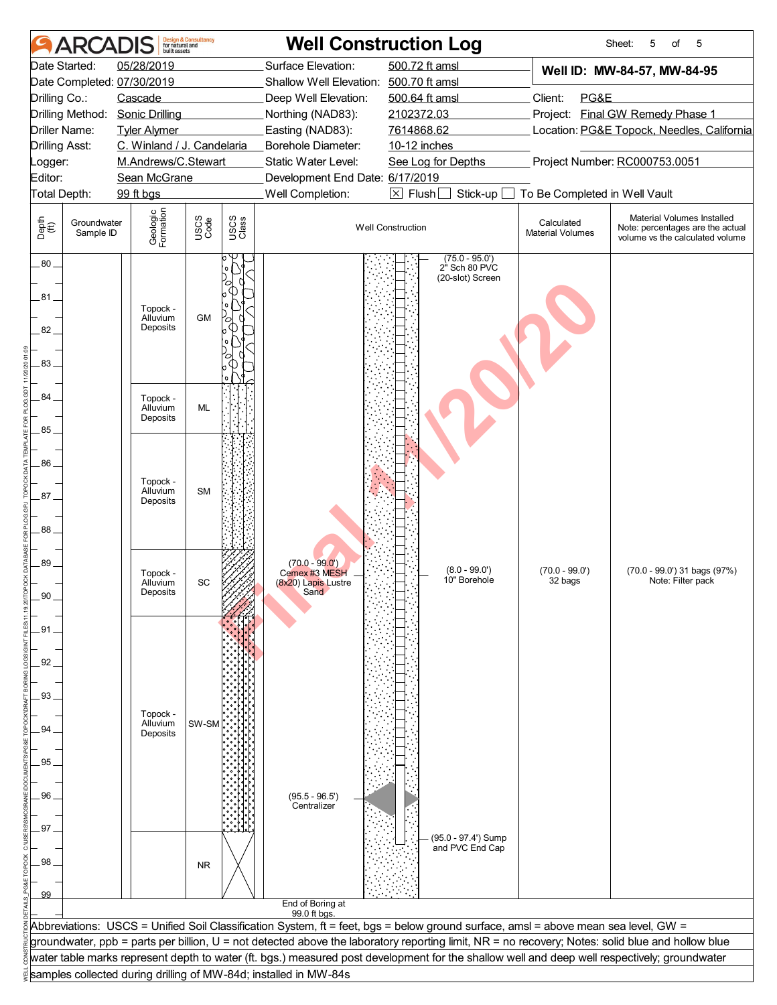|                       | <b>ARCAI</b>             | huilt assets               | <b>Design &amp; Consultancy</b><br>for natural and |               |                                                                  | <b>Well Construction Log</b>                                                                                                                                                                                                                                                           |                                       | 5<br>Sheet:<br>5<br>of                                                                            |
|-----------------------|--------------------------|----------------------------|----------------------------------------------------|---------------|------------------------------------------------------------------|----------------------------------------------------------------------------------------------------------------------------------------------------------------------------------------------------------------------------------------------------------------------------------------|---------------------------------------|---------------------------------------------------------------------------------------------------|
|                       | Date Started:            | 05/28/2019                 |                                                    |               | Surface Elevation:                                               | 500.72 ft amsl                                                                                                                                                                                                                                                                         |                                       | Well ID: MW-84-57, MW-84-95                                                                       |
|                       |                          | Date Completed: 07/30/2019 |                                                    |               | Shallow Well Elevation:                                          | 500.70 ft amsl                                                                                                                                                                                                                                                                         |                                       |                                                                                                   |
| Drilling Co.:         |                          | Cascade                    |                                                    |               | Deep Well Elevation:                                             | 500.64 ft amsl                                                                                                                                                                                                                                                                         | Client:<br>PG&E                       |                                                                                                   |
|                       | Drilling Method:         | <b>Sonic Drilling</b>      |                                                    |               | Northing (NAD83):                                                | 2102372.03                                                                                                                                                                                                                                                                             |                                       | Project: Final GW Remedy Phase 1                                                                  |
| Driller Name:         |                          | <b>Tyler Alymer</b>        |                                                    |               | Easting (NAD83):                                                 | 7614868.62                                                                                                                                                                                                                                                                             |                                       | Location: PG&E Topock, Needles, California                                                        |
| <b>Drilling Asst:</b> |                          | C. Winland / J. Candelaria |                                                    |               | Borehole Diameter:                                               | 10-12 inches                                                                                                                                                                                                                                                                           |                                       |                                                                                                   |
| Logger:               |                          | M.Andrews/C.Stewart        |                                                    |               | Static Water Level:                                              | See Log for Depths                                                                                                                                                                                                                                                                     |                                       | Project Number: RC000753.0051                                                                     |
| Editor:               |                          | Sean McGrane               |                                                    |               | Development End Date: 6/17/2019                                  |                                                                                                                                                                                                                                                                                        |                                       |                                                                                                   |
| Total Depth:          |                          | 99 ft bgs                  |                                                    |               | Well Completion:                                                 | $\boxtimes$ Flush [<br>Stick-up                                                                                                                                                                                                                                                        | To Be Completed in Well Vault         |                                                                                                   |
| Depth<br>(ff)         | Groundwater<br>Sample ID | Geologic<br>Formation      | USCS<br>Code                                       | USCS<br>Class |                                                                  | <b>Well Construction</b>                                                                                                                                                                                                                                                               | Calculated<br><b>Material Volumes</b> | Material Volumes Installed<br>Note: percentages are the actual<br>volume vs the calculated volume |
| $.80 -$               |                          |                            |                                                    |               |                                                                  | $(75.0 - 95.0')$<br>2" Sch 80 PVC                                                                                                                                                                                                                                                      |                                       |                                                                                                   |
|                       |                          |                            |                                                    |               |                                                                  | (20-slot) Screen                                                                                                                                                                                                                                                                       |                                       |                                                                                                   |
| 81                    |                          |                            |                                                    |               |                                                                  |                                                                                                                                                                                                                                                                                        |                                       |                                                                                                   |
|                       |                          | Topock -<br>Alluvium       | <b>GM</b>                                          |               |                                                                  |                                                                                                                                                                                                                                                                                        |                                       |                                                                                                   |
| 82.                   |                          | Deposits                   |                                                    | 0             |                                                                  |                                                                                                                                                                                                                                                                                        |                                       |                                                                                                   |
|                       |                          |                            |                                                    |               |                                                                  |                                                                                                                                                                                                                                                                                        |                                       |                                                                                                   |
| 83.                   |                          |                            |                                                    |               |                                                                  |                                                                                                                                                                                                                                                                                        |                                       |                                                                                                   |
|                       |                          |                            |                                                    |               |                                                                  |                                                                                                                                                                                                                                                                                        |                                       |                                                                                                   |
| 84.                   |                          | Topock -                   |                                                    |               |                                                                  |                                                                                                                                                                                                                                                                                        |                                       |                                                                                                   |
|                       |                          | Alluvium                   | <b>ML</b>                                          |               |                                                                  |                                                                                                                                                                                                                                                                                        |                                       |                                                                                                   |
| 85.                   |                          | Deposits                   |                                                    |               |                                                                  |                                                                                                                                                                                                                                                                                        |                                       |                                                                                                   |
|                       |                          |                            |                                                    |               |                                                                  |                                                                                                                                                                                                                                                                                        |                                       |                                                                                                   |
| 86                    |                          |                            |                                                    |               |                                                                  |                                                                                                                                                                                                                                                                                        |                                       |                                                                                                   |
|                       |                          |                            |                                                    |               |                                                                  |                                                                                                                                                                                                                                                                                        |                                       |                                                                                                   |
|                       |                          | Topock -<br>Alluvium       | <b>SM</b>                                          |               |                                                                  |                                                                                                                                                                                                                                                                                        |                                       |                                                                                                   |
| $87 -$                |                          | Deposits                   |                                                    |               |                                                                  |                                                                                                                                                                                                                                                                                        |                                       |                                                                                                   |
|                       |                          |                            |                                                    |               |                                                                  |                                                                                                                                                                                                                                                                                        |                                       |                                                                                                   |
| 88.                   |                          |                            |                                                    |               |                                                                  |                                                                                                                                                                                                                                                                                        |                                       |                                                                                                   |
|                       |                          |                            |                                                    |               |                                                                  |                                                                                                                                                                                                                                                                                        |                                       |                                                                                                   |
| 89                    |                          | Topock -                   |                                                    |               | $(70.0 - 99.0')$<br>Cemex #3 MESH                                | $(8.0 - 99.0')$                                                                                                                                                                                                                                                                        | $(70.0 - 99.0')$                      | (70.0 - 99.0') 31 bags (97%)                                                                      |
|                       |                          | Alluvium                   | SC                                                 |               | (8x20) Lapis Lustre                                              | 10" Borehole                                                                                                                                                                                                                                                                           | 32 bags                               | Note: Filter pack                                                                                 |
| 9U                    |                          | Deposits                   |                                                    |               | Sand                                                             |                                                                                                                                                                                                                                                                                        |                                       |                                                                                                   |
|                       |                          |                            |                                                    |               |                                                                  |                                                                                                                                                                                                                                                                                        |                                       |                                                                                                   |
| 91                    |                          |                            |                                                    |               |                                                                  |                                                                                                                                                                                                                                                                                        |                                       |                                                                                                   |
|                       |                          |                            |                                                    |               |                                                                  |                                                                                                                                                                                                                                                                                        |                                       |                                                                                                   |
| 92                    |                          |                            |                                                    |               |                                                                  |                                                                                                                                                                                                                                                                                        |                                       |                                                                                                   |
|                       |                          |                            |                                                    |               |                                                                  |                                                                                                                                                                                                                                                                                        |                                       |                                                                                                   |
| 93                    |                          |                            |                                                    |               |                                                                  |                                                                                                                                                                                                                                                                                        |                                       |                                                                                                   |
|                       |                          | Topock -                   |                                                    |               |                                                                  |                                                                                                                                                                                                                                                                                        |                                       |                                                                                                   |
| 94                    |                          | Alluvium<br>Deposits       | SW-SM                                              |               |                                                                  |                                                                                                                                                                                                                                                                                        |                                       |                                                                                                   |
|                       |                          |                            |                                                    |               |                                                                  |                                                                                                                                                                                                                                                                                        |                                       |                                                                                                   |
| 95.                   |                          |                            |                                                    |               |                                                                  |                                                                                                                                                                                                                                                                                        |                                       |                                                                                                   |
|                       |                          |                            |                                                    |               |                                                                  |                                                                                                                                                                                                                                                                                        |                                       |                                                                                                   |
| 96                    |                          |                            |                                                    |               | $(95.5 - 96.5')$                                                 |                                                                                                                                                                                                                                                                                        |                                       |                                                                                                   |
|                       |                          |                            |                                                    |               | Centralizer                                                      |                                                                                                                                                                                                                                                                                        |                                       |                                                                                                   |
| .97                   |                          |                            |                                                    |               |                                                                  |                                                                                                                                                                                                                                                                                        |                                       |                                                                                                   |
|                       |                          |                            |                                                    |               |                                                                  | (95.0 - 97.4') Sump                                                                                                                                                                                                                                                                    |                                       |                                                                                                   |
| 98                    |                          |                            |                                                    |               |                                                                  | and PVC End Cap                                                                                                                                                                                                                                                                        |                                       |                                                                                                   |
|                       |                          |                            | <b>NR</b>                                          |               |                                                                  |                                                                                                                                                                                                                                                                                        |                                       |                                                                                                   |
|                       |                          |                            |                                                    |               |                                                                  |                                                                                                                                                                                                                                                                                        |                                       |                                                                                                   |
| 99                    |                          |                            |                                                    |               | End of Boring at                                                 |                                                                                                                                                                                                                                                                                        |                                       |                                                                                                   |
|                       |                          |                            |                                                    |               | 99.0 ft bas.                                                     |                                                                                                                                                                                                                                                                                        |                                       |                                                                                                   |
|                       |                          |                            |                                                    |               |                                                                  | Abbreviations: USCS = Unified Soil Classification System, ft = feet, bgs = below ground surface, amsl = above mean sea level, GW =<br>groundwater, ppb = parts per billion, U = not detected above the laboratory reporting limit, NR = no recovery; Notes: solid blue and hollow blue |                                       |                                                                                                   |
|                       |                          |                            |                                                    |               |                                                                  | water table marks represent depth to water (ft. bgs.) measured post development for the shallow well and deep well respectively; groundwater                                                                                                                                           |                                       |                                                                                                   |
|                       |                          |                            |                                                    |               | samples collected during drilling of MW-84d; installed in MW-84s |                                                                                                                                                                                                                                                                                        |                                       |                                                                                                   |
|                       |                          |                            |                                                    |               |                                                                  |                                                                                                                                                                                                                                                                                        |                                       |                                                                                                   |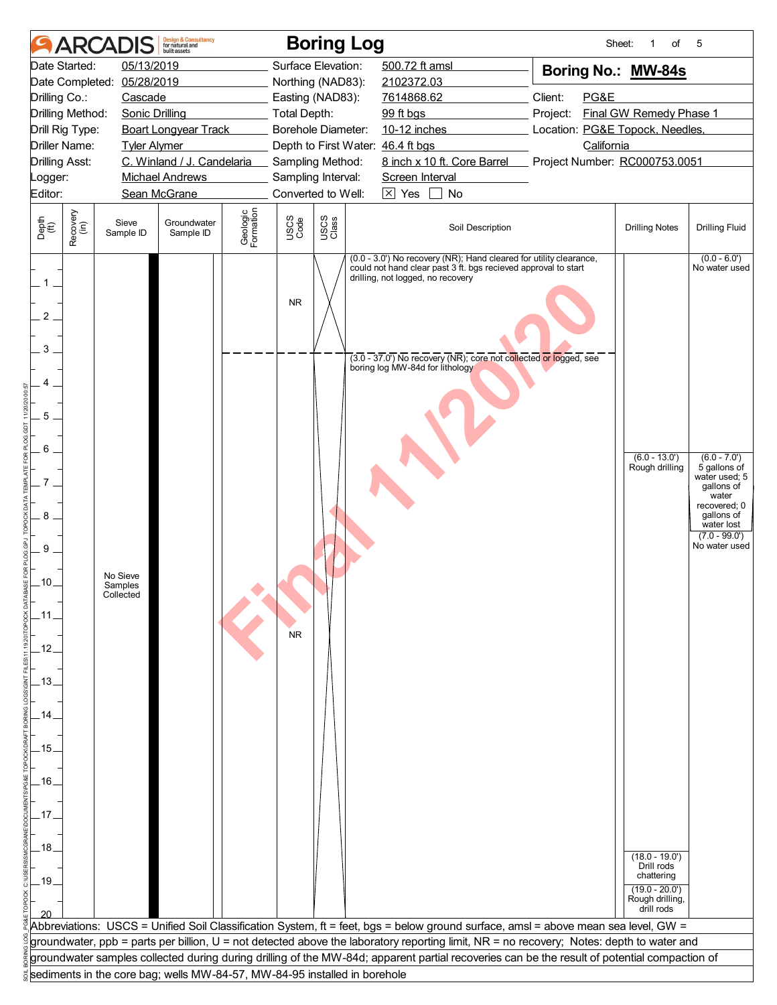|                                                                                                                                                     | <b>ARCADIS</b>                                                            | <b>Design &amp; Consultancy</b><br>for natural and<br><b>built</b> assets |                       |                        | <b>Boring Log</b>  |                                                                      |                                                                                                                                                                                                           |                 | Sheet:<br>of<br>1                                                                                                                     | 5                                                                                                                                                                                         |  |
|-----------------------------------------------------------------------------------------------------------------------------------------------------|---------------------------------------------------------------------------|---------------------------------------------------------------------------|-----------------------|------------------------|--------------------|----------------------------------------------------------------------|-----------------------------------------------------------------------------------------------------------------------------------------------------------------------------------------------------------|-----------------|---------------------------------------------------------------------------------------------------------------------------------------|-------------------------------------------------------------------------------------------------------------------------------------------------------------------------------------------|--|
| Date Started:                                                                                                                                       | 05/13/2019                                                                |                                                                           |                       |                        | Surface Elevation: | 500.72 ft amsl                                                       |                                                                                                                                                                                                           |                 | Boring No.: MW-84s                                                                                                                    |                                                                                                                                                                                           |  |
| Date Completed:                                                                                                                                     | 05/28/2019                                                                |                                                                           |                       |                        | Northing (NAD83):  | 2102372.03                                                           |                                                                                                                                                                                                           |                 |                                                                                                                                       |                                                                                                                                                                                           |  |
| Drilling Co.:                                                                                                                                       | Cascade                                                                   |                                                                           |                       |                        | Easting (NAD83):   | 7614868.62                                                           |                                                                                                                                                                                                           | Client:<br>PG&E |                                                                                                                                       |                                                                                                                                                                                           |  |
| Drilling Method:                                                                                                                                    | <b>Sonic Drilling</b>                                                     |                                                                           |                       | Total Depth:           |                    | 99 ft bgs                                                            |                                                                                                                                                                                                           | Project:        | Final GW Remedy Phase 1                                                                                                               |                                                                                                                                                                                           |  |
| Drill Rig Type:                                                                                                                                     |                                                                           | <b>Boart Longyear Track</b>                                               |                       |                        | Borehole Diameter: | 10-12 inches                                                         |                                                                                                                                                                                                           |                 | Location: PG&E Topock, Needles,                                                                                                       |                                                                                                                                                                                           |  |
| <b>Driller Name:</b>                                                                                                                                | <b>Tyler Alymer</b>                                                       |                                                                           |                       |                        |                    | Depth to First Water: 46.4 ft bgs                                    |                                                                                                                                                                                                           |                 | California                                                                                                                            |                                                                                                                                                                                           |  |
| <b>Drilling Asst:</b>                                                                                                                               |                                                                           | C. Winland / J. Candelaria                                                |                       |                        | Sampling Method:   |                                                                      | 8 inch x 10 ft. Core Barrel Project Number: RC000753.0051                                                                                                                                                 |                 |                                                                                                                                       |                                                                                                                                                                                           |  |
| Logger:                                                                                                                                             |                                                                           | <b>Michael Andrews</b>                                                    |                       |                        | Sampling Interval: | Screen Interval                                                      |                                                                                                                                                                                                           |                 |                                                                                                                                       |                                                                                                                                                                                           |  |
| Editor:                                                                                                                                             |                                                                           | Sean McGrane                                                              |                       |                        | Converted to Well: | $\boxtimes$ Yes                                                      | $\blacksquare$<br>No                                                                                                                                                                                      |                 |                                                                                                                                       |                                                                                                                                                                                           |  |
| Recovery<br>(in)<br>Depth<br>(ft)                                                                                                                   | Sieve<br>Sample ID                                                        | Groundwater<br>Sample ID                                                  | Geologic<br>Formation | USCS<br>Code           | USCS<br>Class      |                                                                      | Soil Description                                                                                                                                                                                          |                 | <b>Drilling Notes</b>                                                                                                                 | <b>Drilling Fluid</b>                                                                                                                                                                     |  |
| $.1-$<br>$\overline{2}$<br>3<br>5<br>6<br>7 <sup>1</sup><br>8<br>9<br>ـ10.<br>_11.<br>.12.<br>-13.<br>.14<br>.15.<br>-16.<br>.17.<br>_18_<br>$-19.$ | No Sieve<br>Samples<br>Collected                                          |                                                                           |                       | <b>NR</b><br><b>NR</b> |                    | drilling, not logged, no recovery<br>boring log MW-84d for lithology | (0.0 - 3.0') No recovery (NR); Hand cleared for utility clearance,<br>could not hand clear past 3 ft. bgs recieved approval to start<br>(3.0 - 37.0') No recovery (NR); core not collected or logged, see |                 | $(6.0 - 13.0)$<br>Rough drilling<br>$(18.0 - 19.0')$<br>Drill rods<br>chattering<br>$(19.0 - 20.0')$<br>Rough drilling,<br>drill rods | $(0.0 - 6.0')$<br>No water used<br>$(6.0 - 7.0')$<br>5 gallons of<br>water used; 5<br>gallons of<br>water<br>recovered; 0<br>gallons of<br>water lost<br>$(7.0 - 99.0')$<br>No water used |  |
|                                                                                                                                                     |                                                                           |                                                                           |                       |                        |                    |                                                                      | Abbreviations: USCS = Unified Soil Classification System, ft = feet, bgs = below ground surface, amsl = above mean sea level, GW =                                                                        |                 |                                                                                                                                       |                                                                                                                                                                                           |  |
|                                                                                                                                                     |                                                                           |                                                                           |                       |                        |                    |                                                                      | groundwater, ppb = parts per billion, U = not detected above the laboratory reporting limit, NR = no recovery; Notes: depth to water and                                                                  |                 |                                                                                                                                       |                                                                                                                                                                                           |  |
|                                                                                                                                                     |                                                                           |                                                                           |                       |                        |                    |                                                                      | groundwater samples collected during during drilling of the MW-84d; apparent partial recoveries can be the result of potential compaction of                                                              |                 |                                                                                                                                       |                                                                                                                                                                                           |  |
|                                                                                                                                                     |                                                                           |                                                                           |                       |                        |                    |                                                                      |                                                                                                                                                                                                           |                 |                                                                                                                                       |                                                                                                                                                                                           |  |
|                                                                                                                                                     | sediments in the core bag; wells MW-84-57, MW-84-95 installed in borehole |                                                                           |                       |                        |                    |                                                                      |                                                                                                                                                                                                           |                 |                                                                                                                                       |                                                                                                                                                                                           |  |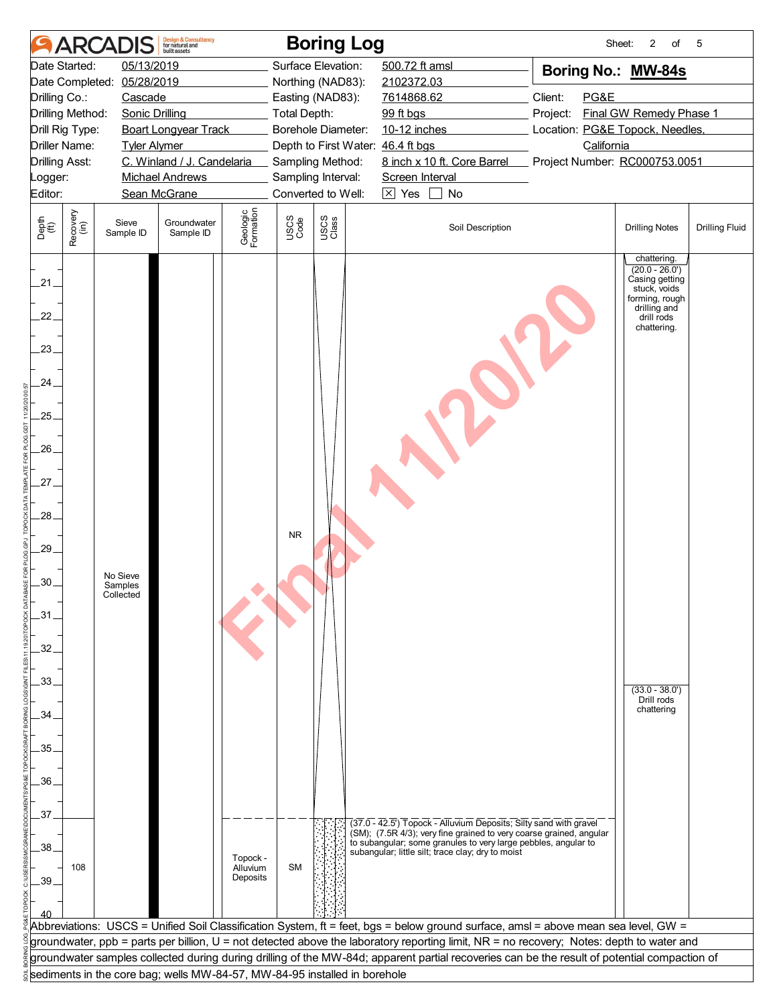|                                                                                     |                                         | <b>ARCADIS</b>                   | <b>Design &amp; Consultancy</b><br>for natural and<br>huilt assets        |                                  |                     | <b>Boring Log</b>                                     |                 |                                                                                                                                                                                                            | Sheet:                                                                                                                                       | 2<br>$\circ$ f                                                                                                                   | 5                     |
|-------------------------------------------------------------------------------------|-----------------------------------------|----------------------------------|---------------------------------------------------------------------------|----------------------------------|---------------------|-------------------------------------------------------|-----------------|------------------------------------------------------------------------------------------------------------------------------------------------------------------------------------------------------------|----------------------------------------------------------------------------------------------------------------------------------------------|----------------------------------------------------------------------------------------------------------------------------------|-----------------------|
|                                                                                     | Date Started:                           | 05/13/2019                       |                                                                           |                                  |                     | Surface Elevation:                                    | 500.72 ft amsl  |                                                                                                                                                                                                            | Boring No.: MW-84s                                                                                                                           |                                                                                                                                  |                       |
|                                                                                     | Date Completed:                         | 05/28/2019                       |                                                                           |                                  |                     | Northing (NAD83):                                     | 2102372.03      |                                                                                                                                                                                                            |                                                                                                                                              |                                                                                                                                  |                       |
| Drilling Co.:                                                                       |                                         | Cascade                          |                                                                           |                                  |                     | Easting (NAD83):                                      | 7614868.62      |                                                                                                                                                                                                            | Client:<br>PG&E                                                                                                                              |                                                                                                                                  |                       |
|                                                                                     | Drilling Method:                        | <b>Sonic Drilling</b>            |                                                                           |                                  | <b>Total Depth:</b> |                                                       | 99 ft bgs       |                                                                                                                                                                                                            | Project:                                                                                                                                     | Final GW Remedy Phase 1                                                                                                          |                       |
|                                                                                     | Drill Rig Type:<br><b>Driller Name:</b> |                                  | <b>Boart Longyear Track</b>                                               |                                  |                     | Borehole Diameter:                                    | 10-12 inches    |                                                                                                                                                                                                            | Location: PG&E Topock, Needles,<br>California                                                                                                |                                                                                                                                  |                       |
| <b>Drilling Asst:</b>                                                               |                                         | <b>Tyler Alymer</b>              | C. Winland / J. Candelaria                                                |                                  |                     | Depth to First Water: 46.4 ft bgs<br>Sampling Method: |                 | 8 inch x 10 ft. Core Barrel                                                                                                                                                                                | Project Number: RC000753.0051                                                                                                                |                                                                                                                                  |                       |
| Logger:                                                                             |                                         |                                  | <b>Michael Andrews</b>                                                    |                                  |                     | Sampling Interval:                                    | Screen Interval |                                                                                                                                                                                                            |                                                                                                                                              |                                                                                                                                  |                       |
| Editor:                                                                             |                                         |                                  | Sean McGrane                                                              |                                  |                     | Converted to Well:                                    | $\boxtimes$ Yes | No                                                                                                                                                                                                         |                                                                                                                                              |                                                                                                                                  |                       |
|                                                                                     |                                         |                                  |                                                                           |                                  |                     |                                                       |                 |                                                                                                                                                                                                            |                                                                                                                                              |                                                                                                                                  |                       |
| Depth<br>(ft)                                                                       | Recovery<br>(in)                        | Sieve<br>Sample ID               | Groundwater<br>Sample ID                                                  | Geologic<br>Formation            | USCS<br>Code        | USCS<br>Class                                         |                 | Soil Description                                                                                                                                                                                           |                                                                                                                                              | <b>Drilling Notes</b>                                                                                                            | <b>Drilling Fluid</b> |
| $21 -$<br>22.<br>23.<br>24.<br>.25.<br>$26 -$<br>$27 -$<br>28.<br>.29.<br>.30<br>31 |                                         | No Sieve<br>Samples<br>Collected |                                                                           |                                  | <b>NR</b>           |                                                       |                 |                                                                                                                                                                                                            |                                                                                                                                              | chattering.<br>$(20.0 - 26.0')$<br>Casing getting<br>stuck, voids<br>forming, rough<br>drilling and<br>drill rods<br>chattering. |                       |
| 32.                                                                                 |                                         |                                  |                                                                           |                                  |                     |                                                       |                 |                                                                                                                                                                                                            |                                                                                                                                              |                                                                                                                                  |                       |
| 33.                                                                                 |                                         |                                  |                                                                           |                                  |                     |                                                       |                 |                                                                                                                                                                                                            |                                                                                                                                              | $(33.0 - 38.0')$<br>Drill rods                                                                                                   |                       |
| 34.                                                                                 |                                         |                                  |                                                                           |                                  |                     |                                                       |                 |                                                                                                                                                                                                            |                                                                                                                                              | chattering                                                                                                                       |                       |
|                                                                                     |                                         |                                  |                                                                           |                                  |                     |                                                       |                 |                                                                                                                                                                                                            |                                                                                                                                              |                                                                                                                                  |                       |
| 35.                                                                                 |                                         |                                  |                                                                           |                                  |                     |                                                       |                 |                                                                                                                                                                                                            |                                                                                                                                              |                                                                                                                                  |                       |
|                                                                                     |                                         |                                  |                                                                           |                                  |                     |                                                       |                 |                                                                                                                                                                                                            |                                                                                                                                              |                                                                                                                                  |                       |
| .36.                                                                                |                                         |                                  |                                                                           |                                  |                     |                                                       |                 |                                                                                                                                                                                                            |                                                                                                                                              |                                                                                                                                  |                       |
|                                                                                     |                                         |                                  |                                                                           |                                  |                     |                                                       |                 |                                                                                                                                                                                                            |                                                                                                                                              |                                                                                                                                  |                       |
| 37.<br>.38.                                                                         |                                         |                                  |                                                                           |                                  |                     |                                                       |                 | (37.0 - 42.5') Topock - Alluvium Deposits; Silty sand with gravel<br>(SM); (7.5R 4/3); very fine grained to very coarse grained, angular<br>to subangular; some granules to very large pebbles, angular to |                                                                                                                                              |                                                                                                                                  |                       |
| 39                                                                                  | 108                                     |                                  |                                                                           | Topock -<br>Alluvium<br>Deposits | <b>SM</b>           |                                                       |                 | subangular; little silt; trace clay; dry to moist                                                                                                                                                          |                                                                                                                                              |                                                                                                                                  |                       |
|                                                                                     |                                         |                                  |                                                                           |                                  |                     |                                                       |                 |                                                                                                                                                                                                            | Abbreviations: USCS = Unified Soil Classification System, ft = feet, bgs = below ground surface, amsl = above mean sea level, GW =           |                                                                                                                                  |                       |
|                                                                                     |                                         |                                  |                                                                           |                                  |                     |                                                       |                 |                                                                                                                                                                                                            | groundwater, ppb = parts per billion, U = not detected above the laboratory reporting limit, NR = no recovery; Notes: depth to water and     |                                                                                                                                  |                       |
|                                                                                     |                                         |                                  |                                                                           |                                  |                     |                                                       |                 |                                                                                                                                                                                                            | groundwater samples collected during during drilling of the MW-84d; apparent partial recoveries can be the result of potential compaction of |                                                                                                                                  |                       |
|                                                                                     |                                         |                                  | sediments in the core bag; wells MW-84-57, MW-84-95 installed in borehole |                                  |                     |                                                       |                 |                                                                                                                                                                                                            |                                                                                                                                              |                                                                                                                                  |                       |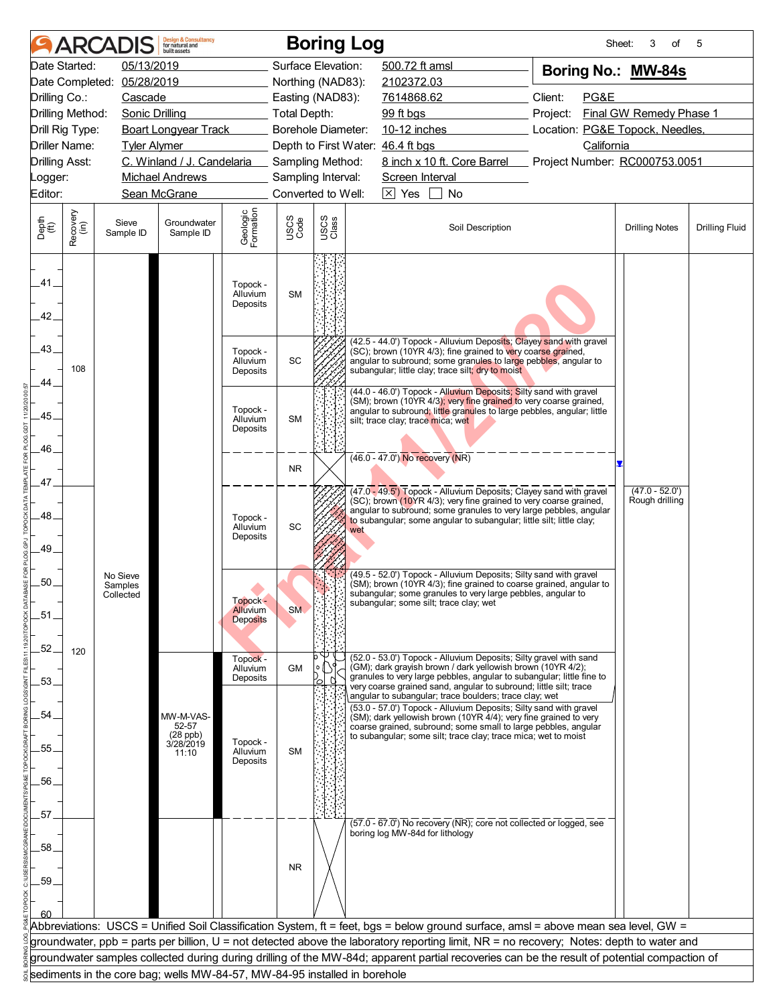| 05/13/2019<br>500.72 ft amsl<br>Date Started:<br>Surface Elevation:<br>Boring No.: MW-84s<br>Date Completed:<br>05/28/2019<br>Northing (NAD83):<br>2102372.03<br>Client:<br>PG&E<br>Drilling Co.:<br>Cascade<br>Easting (NAD83):<br>7614868.62<br>Final GW Remedy Phase 1<br>Drilling Method:<br><b>Sonic Drilling</b><br><b>Total Depth:</b><br>99 ft bgs<br>Project:<br>10-12 inches<br>Location: PG&E Topock, Needles,<br>Drill Rig Type:<br><b>Boart Longyear Track</b><br><b>Borehole Diameter:</b><br>Driller Name:<br>Depth to First Water: 46.4 ft bgs<br>California<br><b>Tyler Alymer</b><br>C. Winland / J. Candelaria<br>8 inch x 10 ft. Core Barrel<br>Project Number: RC000753.0051<br><b>Drilling Asst:</b><br>Sampling Method:<br>Michael Andrews<br>Sampling Interval:<br>Screen Interval<br>_ogger:<br>$\boxtimes$ Yes<br>Editor:<br>Sean McGrane<br>Converted to Well:<br>No<br>Geologic<br>Formation<br>Recovery<br>(in)<br>USCS<br>Class<br>USCS<br>Code<br>Depth<br>(ft)<br>Sieve<br>Groundwater<br>Soil Description<br><b>Drilling Fluid</b><br><b>Drilling Notes</b><br>Sample ID<br>Sample ID<br>.41<br>Topock -<br><b>SM</b><br>Alluvium<br>Deposits<br>42.<br>(42.5 - 44.0') Topock - Alluvium Deposits; Clayey sand with gravel<br>43.<br>(SC); brown (10YR 4/3); fine grained to very coarse grained,<br>Topock -<br>SC<br>angular to subround; some granules to large pebbles, angular to<br>Alluvium<br>108<br>subangular; little clay; trace silt; dry to moist<br>Deposits<br>44<br>(44.0 - 46.0') Topock - Alluvium Deposits; Silty sand with gravel<br>(SM); brown (10YR 4/3); very fine grained to very coarse grained,<br>Topock -<br>angular to subround; little granules to large pebbles, angular; little<br>.45.<br><b>SM</b><br>Alluvium<br>silt; trace clay; trace mica; wet<br>Deposits<br>46.<br>$(46.0 - 47.0)$ No recovery (NR)<br><b>NR</b><br>47.<br>$(47.0 - 52.0')$<br>(47.0 - 49.5') Topock - Alluvium Deposits; Clayey sand with gravel<br>(SC); brown (10YR 4/3); very fine grained to very coarse grained,<br>Rough drilling<br>angular to subround; some granules to very large pebbles, angular<br>48<br>Topock -<br>to subangular; some angular to subangular; little silt; little clay;<br>SC<br>Alluvium<br>wet<br>Deposits<br>49.<br>(49.5 - 52.0') Topock - Alluvium Deposits; Silty sand with gravel<br>No Sieve<br>50.<br>(SM); brown (10YR 4/3); fine grained to coarse grained, angular to<br>Samples<br>subangular; some granules to very large pebbles, angular to<br>Collected<br>Topock -<br>subangular; some silt; trace clay; wet<br><b>Alluvium</b><br><b>SM</b><br>.51.<br><b>Deposits</b><br>$-52.$<br>120<br>(52.0 - 53.0') Topock - Alluvium Deposits; Silty gravel with sand<br>Topock -<br>(GM); dark grayish brown / dark yellowish brown (10YR 4/2);<br><b>GM</b><br>Alluvium<br>granules to very large pebbles, angular to subangular; little fine to<br>Deposits<br>.53.<br>very coarse grained sand, angular to subround; little silt; trace<br>angular to subangular; trace boulders; trace clay; wet<br>(53.0 - 57.0') Topock - Alluvium Deposits; Silty sand with gravel<br>54.<br>MW-M-VAS-<br>(SM); dark yellowish brown (10YR 4/4); very fine grained to very<br>52-57<br>coarse grained, subround; some small to large pebbles, angular<br>(28 ppb)<br>3/28/2019<br>to subangular; some silt; trace clay; trace mica; wet to moist<br>Topock -<br>55.<br>Alluvium<br><b>SM</b><br>11:10<br>Deposits<br>.56.<br>57.<br>$(57.0 - 67.0)$ No recovery (NR); core not collected or logged, see<br>boring log MW-84d for lithology<br>.58.<br><b>NR</b><br>.59.<br>60<br>Abbreviations: USCS = Unified Soil Classification System, ft = feet, bgs = below ground surface, amsl = above mean sea level, GW =<br>groundwater, ppb = parts per billion, U = not detected above the laboratory reporting limit, NR = no recovery; Notes: depth to water and<br>groundwater samples collected during during drilling of the MW-84d; apparent partial recoveries can be the result of potential compaction of<br>sediments in the core bag; wells MW-84-57, MW-84-95 installed in borehole |  | <b>ARCADIS</b> | <b>Design &amp; Consultancy</b><br>for natural and<br>huilt assets |  | <b>Boring Log</b> | Sheet: | 3<br>of | 5 |
|---------------------------------------------------------------------------------------------------------------------------------------------------------------------------------------------------------------------------------------------------------------------------------------------------------------------------------------------------------------------------------------------------------------------------------------------------------------------------------------------------------------------------------------------------------------------------------------------------------------------------------------------------------------------------------------------------------------------------------------------------------------------------------------------------------------------------------------------------------------------------------------------------------------------------------------------------------------------------------------------------------------------------------------------------------------------------------------------------------------------------------------------------------------------------------------------------------------------------------------------------------------------------------------------------------------------------------------------------------------------------------------------------------------------------------------------------------------------------------------------------------------------------------------------------------------------------------------------------------------------------------------------------------------------------------------------------------------------------------------------------------------------------------------------------------------------------------------------------------------------------------------------------------------------------------------------------------------------------------------------------------------------------------------------------------------------------------------------------------------------------------------------------------------------------------------------------------------------------------------------------------------------------------------------------------------------------------------------------------------------------------------------------------------------------------------------------------------------------------------------------------------------------------------------------------------------------------------------------------------------------------------------------------------------------------------------------------------------------------------------------------------------------------------------------------------------------------------------------------------------------------------------------------------------------------------------------------------------------------------------------------------------------------------------------------------------------------------------------------------------------------------------------------------------------------------------------------------------------------------------------------------------------------------------------------------------------------------------------------------------------------------------------------------------------------------------------------------------------------------------------------------------------------------------------------------------------------------------------------------------------------------------------------------------------------------------------------------------------------------------------------------------------------------------------------------------------------------------------------------------------------------------------------------------------------------------------------------------------------------------------------------------------------------------------------------------------------------------------------------------------------------------------------------------------|--|----------------|--------------------------------------------------------------------|--|-------------------|--------|---------|---|
|                                                                                                                                                                                                                                                                                                                                                                                                                                                                                                                                                                                                                                                                                                                                                                                                                                                                                                                                                                                                                                                                                                                                                                                                                                                                                                                                                                                                                                                                                                                                                                                                                                                                                                                                                                                                                                                                                                                                                                                                                                                                                                                                                                                                                                                                                                                                                                                                                                                                                                                                                                                                                                                                                                                                                                                                                                                                                                                                                                                                                                                                                                                                                                                                                                                                                                                                                                                                                                                                                                                                                                                                                                                                                                                                                                                                                                                                                                                                                                                                                                                                                                                                                                           |  |                |                                                                    |  |                   |        |         |   |
|                                                                                                                                                                                                                                                                                                                                                                                                                                                                                                                                                                                                                                                                                                                                                                                                                                                                                                                                                                                                                                                                                                                                                                                                                                                                                                                                                                                                                                                                                                                                                                                                                                                                                                                                                                                                                                                                                                                                                                                                                                                                                                                                                                                                                                                                                                                                                                                                                                                                                                                                                                                                                                                                                                                                                                                                                                                                                                                                                                                                                                                                                                                                                                                                                                                                                                                                                                                                                                                                                                                                                                                                                                                                                                                                                                                                                                                                                                                                                                                                                                                                                                                                                                           |  |                |                                                                    |  |                   |        |         |   |
|                                                                                                                                                                                                                                                                                                                                                                                                                                                                                                                                                                                                                                                                                                                                                                                                                                                                                                                                                                                                                                                                                                                                                                                                                                                                                                                                                                                                                                                                                                                                                                                                                                                                                                                                                                                                                                                                                                                                                                                                                                                                                                                                                                                                                                                                                                                                                                                                                                                                                                                                                                                                                                                                                                                                                                                                                                                                                                                                                                                                                                                                                                                                                                                                                                                                                                                                                                                                                                                                                                                                                                                                                                                                                                                                                                                                                                                                                                                                                                                                                                                                                                                                                                           |  |                |                                                                    |  |                   |        |         |   |
|                                                                                                                                                                                                                                                                                                                                                                                                                                                                                                                                                                                                                                                                                                                                                                                                                                                                                                                                                                                                                                                                                                                                                                                                                                                                                                                                                                                                                                                                                                                                                                                                                                                                                                                                                                                                                                                                                                                                                                                                                                                                                                                                                                                                                                                                                                                                                                                                                                                                                                                                                                                                                                                                                                                                                                                                                                                                                                                                                                                                                                                                                                                                                                                                                                                                                                                                                                                                                                                                                                                                                                                                                                                                                                                                                                                                                                                                                                                                                                                                                                                                                                                                                                           |  |                |                                                                    |  |                   |        |         |   |
|                                                                                                                                                                                                                                                                                                                                                                                                                                                                                                                                                                                                                                                                                                                                                                                                                                                                                                                                                                                                                                                                                                                                                                                                                                                                                                                                                                                                                                                                                                                                                                                                                                                                                                                                                                                                                                                                                                                                                                                                                                                                                                                                                                                                                                                                                                                                                                                                                                                                                                                                                                                                                                                                                                                                                                                                                                                                                                                                                                                                                                                                                                                                                                                                                                                                                                                                                                                                                                                                                                                                                                                                                                                                                                                                                                                                                                                                                                                                                                                                                                                                                                                                                                           |  |                |                                                                    |  |                   |        |         |   |
|                                                                                                                                                                                                                                                                                                                                                                                                                                                                                                                                                                                                                                                                                                                                                                                                                                                                                                                                                                                                                                                                                                                                                                                                                                                                                                                                                                                                                                                                                                                                                                                                                                                                                                                                                                                                                                                                                                                                                                                                                                                                                                                                                                                                                                                                                                                                                                                                                                                                                                                                                                                                                                                                                                                                                                                                                                                                                                                                                                                                                                                                                                                                                                                                                                                                                                                                                                                                                                                                                                                                                                                                                                                                                                                                                                                                                                                                                                                                                                                                                                                                                                                                                                           |  |                |                                                                    |  |                   |        |         |   |
|                                                                                                                                                                                                                                                                                                                                                                                                                                                                                                                                                                                                                                                                                                                                                                                                                                                                                                                                                                                                                                                                                                                                                                                                                                                                                                                                                                                                                                                                                                                                                                                                                                                                                                                                                                                                                                                                                                                                                                                                                                                                                                                                                                                                                                                                                                                                                                                                                                                                                                                                                                                                                                                                                                                                                                                                                                                                                                                                                                                                                                                                                                                                                                                                                                                                                                                                                                                                                                                                                                                                                                                                                                                                                                                                                                                                                                                                                                                                                                                                                                                                                                                                                                           |  |                |                                                                    |  |                   |        |         |   |
|                                                                                                                                                                                                                                                                                                                                                                                                                                                                                                                                                                                                                                                                                                                                                                                                                                                                                                                                                                                                                                                                                                                                                                                                                                                                                                                                                                                                                                                                                                                                                                                                                                                                                                                                                                                                                                                                                                                                                                                                                                                                                                                                                                                                                                                                                                                                                                                                                                                                                                                                                                                                                                                                                                                                                                                                                                                                                                                                                                                                                                                                                                                                                                                                                                                                                                                                                                                                                                                                                                                                                                                                                                                                                                                                                                                                                                                                                                                                                                                                                                                                                                                                                                           |  |                |                                                                    |  |                   |        |         |   |
|                                                                                                                                                                                                                                                                                                                                                                                                                                                                                                                                                                                                                                                                                                                                                                                                                                                                                                                                                                                                                                                                                                                                                                                                                                                                                                                                                                                                                                                                                                                                                                                                                                                                                                                                                                                                                                                                                                                                                                                                                                                                                                                                                                                                                                                                                                                                                                                                                                                                                                                                                                                                                                                                                                                                                                                                                                                                                                                                                                                                                                                                                                                                                                                                                                                                                                                                                                                                                                                                                                                                                                                                                                                                                                                                                                                                                                                                                                                                                                                                                                                                                                                                                                           |  |                |                                                                    |  |                   |        |         |   |
|                                                                                                                                                                                                                                                                                                                                                                                                                                                                                                                                                                                                                                                                                                                                                                                                                                                                                                                                                                                                                                                                                                                                                                                                                                                                                                                                                                                                                                                                                                                                                                                                                                                                                                                                                                                                                                                                                                                                                                                                                                                                                                                                                                                                                                                                                                                                                                                                                                                                                                                                                                                                                                                                                                                                                                                                                                                                                                                                                                                                                                                                                                                                                                                                                                                                                                                                                                                                                                                                                                                                                                                                                                                                                                                                                                                                                                                                                                                                                                                                                                                                                                                                                                           |  |                |                                                                    |  |                   |        |         |   |
|                                                                                                                                                                                                                                                                                                                                                                                                                                                                                                                                                                                                                                                                                                                                                                                                                                                                                                                                                                                                                                                                                                                                                                                                                                                                                                                                                                                                                                                                                                                                                                                                                                                                                                                                                                                                                                                                                                                                                                                                                                                                                                                                                                                                                                                                                                                                                                                                                                                                                                                                                                                                                                                                                                                                                                                                                                                                                                                                                                                                                                                                                                                                                                                                                                                                                                                                                                                                                                                                                                                                                                                                                                                                                                                                                                                                                                                                                                                                                                                                                                                                                                                                                                           |  |                |                                                                    |  |                   |        |         |   |
|                                                                                                                                                                                                                                                                                                                                                                                                                                                                                                                                                                                                                                                                                                                                                                                                                                                                                                                                                                                                                                                                                                                                                                                                                                                                                                                                                                                                                                                                                                                                                                                                                                                                                                                                                                                                                                                                                                                                                                                                                                                                                                                                                                                                                                                                                                                                                                                                                                                                                                                                                                                                                                                                                                                                                                                                                                                                                                                                                                                                                                                                                                                                                                                                                                                                                                                                                                                                                                                                                                                                                                                                                                                                                                                                                                                                                                                                                                                                                                                                                                                                                                                                                                           |  |                |                                                                    |  |                   |        |         |   |
|                                                                                                                                                                                                                                                                                                                                                                                                                                                                                                                                                                                                                                                                                                                                                                                                                                                                                                                                                                                                                                                                                                                                                                                                                                                                                                                                                                                                                                                                                                                                                                                                                                                                                                                                                                                                                                                                                                                                                                                                                                                                                                                                                                                                                                                                                                                                                                                                                                                                                                                                                                                                                                                                                                                                                                                                                                                                                                                                                                                                                                                                                                                                                                                                                                                                                                                                                                                                                                                                                                                                                                                                                                                                                                                                                                                                                                                                                                                                                                                                                                                                                                                                                                           |  |                |                                                                    |  |                   |        |         |   |
|                                                                                                                                                                                                                                                                                                                                                                                                                                                                                                                                                                                                                                                                                                                                                                                                                                                                                                                                                                                                                                                                                                                                                                                                                                                                                                                                                                                                                                                                                                                                                                                                                                                                                                                                                                                                                                                                                                                                                                                                                                                                                                                                                                                                                                                                                                                                                                                                                                                                                                                                                                                                                                                                                                                                                                                                                                                                                                                                                                                                                                                                                                                                                                                                                                                                                                                                                                                                                                                                                                                                                                                                                                                                                                                                                                                                                                                                                                                                                                                                                                                                                                                                                                           |  |                |                                                                    |  |                   |        |         |   |
|                                                                                                                                                                                                                                                                                                                                                                                                                                                                                                                                                                                                                                                                                                                                                                                                                                                                                                                                                                                                                                                                                                                                                                                                                                                                                                                                                                                                                                                                                                                                                                                                                                                                                                                                                                                                                                                                                                                                                                                                                                                                                                                                                                                                                                                                                                                                                                                                                                                                                                                                                                                                                                                                                                                                                                                                                                                                                                                                                                                                                                                                                                                                                                                                                                                                                                                                                                                                                                                                                                                                                                                                                                                                                                                                                                                                                                                                                                                                                                                                                                                                                                                                                                           |  |                |                                                                    |  |                   |        |         |   |
|                                                                                                                                                                                                                                                                                                                                                                                                                                                                                                                                                                                                                                                                                                                                                                                                                                                                                                                                                                                                                                                                                                                                                                                                                                                                                                                                                                                                                                                                                                                                                                                                                                                                                                                                                                                                                                                                                                                                                                                                                                                                                                                                                                                                                                                                                                                                                                                                                                                                                                                                                                                                                                                                                                                                                                                                                                                                                                                                                                                                                                                                                                                                                                                                                                                                                                                                                                                                                                                                                                                                                                                                                                                                                                                                                                                                                                                                                                                                                                                                                                                                                                                                                                           |  |                |                                                                    |  |                   |        |         |   |
|                                                                                                                                                                                                                                                                                                                                                                                                                                                                                                                                                                                                                                                                                                                                                                                                                                                                                                                                                                                                                                                                                                                                                                                                                                                                                                                                                                                                                                                                                                                                                                                                                                                                                                                                                                                                                                                                                                                                                                                                                                                                                                                                                                                                                                                                                                                                                                                                                                                                                                                                                                                                                                                                                                                                                                                                                                                                                                                                                                                                                                                                                                                                                                                                                                                                                                                                                                                                                                                                                                                                                                                                                                                                                                                                                                                                                                                                                                                                                                                                                                                                                                                                                                           |  |                |                                                                    |  |                   |        |         |   |
|                                                                                                                                                                                                                                                                                                                                                                                                                                                                                                                                                                                                                                                                                                                                                                                                                                                                                                                                                                                                                                                                                                                                                                                                                                                                                                                                                                                                                                                                                                                                                                                                                                                                                                                                                                                                                                                                                                                                                                                                                                                                                                                                                                                                                                                                                                                                                                                                                                                                                                                                                                                                                                                                                                                                                                                                                                                                                                                                                                                                                                                                                                                                                                                                                                                                                                                                                                                                                                                                                                                                                                                                                                                                                                                                                                                                                                                                                                                                                                                                                                                                                                                                                                           |  |                |                                                                    |  |                   |        |         |   |
|                                                                                                                                                                                                                                                                                                                                                                                                                                                                                                                                                                                                                                                                                                                                                                                                                                                                                                                                                                                                                                                                                                                                                                                                                                                                                                                                                                                                                                                                                                                                                                                                                                                                                                                                                                                                                                                                                                                                                                                                                                                                                                                                                                                                                                                                                                                                                                                                                                                                                                                                                                                                                                                                                                                                                                                                                                                                                                                                                                                                                                                                                                                                                                                                                                                                                                                                                                                                                                                                                                                                                                                                                                                                                                                                                                                                                                                                                                                                                                                                                                                                                                                                                                           |  |                |                                                                    |  |                   |        |         |   |
|                                                                                                                                                                                                                                                                                                                                                                                                                                                                                                                                                                                                                                                                                                                                                                                                                                                                                                                                                                                                                                                                                                                                                                                                                                                                                                                                                                                                                                                                                                                                                                                                                                                                                                                                                                                                                                                                                                                                                                                                                                                                                                                                                                                                                                                                                                                                                                                                                                                                                                                                                                                                                                                                                                                                                                                                                                                                                                                                                                                                                                                                                                                                                                                                                                                                                                                                                                                                                                                                                                                                                                                                                                                                                                                                                                                                                                                                                                                                                                                                                                                                                                                                                                           |  |                |                                                                    |  |                   |        |         |   |
|                                                                                                                                                                                                                                                                                                                                                                                                                                                                                                                                                                                                                                                                                                                                                                                                                                                                                                                                                                                                                                                                                                                                                                                                                                                                                                                                                                                                                                                                                                                                                                                                                                                                                                                                                                                                                                                                                                                                                                                                                                                                                                                                                                                                                                                                                                                                                                                                                                                                                                                                                                                                                                                                                                                                                                                                                                                                                                                                                                                                                                                                                                                                                                                                                                                                                                                                                                                                                                                                                                                                                                                                                                                                                                                                                                                                                                                                                                                                                                                                                                                                                                                                                                           |  |                |                                                                    |  |                   |        |         |   |
|                                                                                                                                                                                                                                                                                                                                                                                                                                                                                                                                                                                                                                                                                                                                                                                                                                                                                                                                                                                                                                                                                                                                                                                                                                                                                                                                                                                                                                                                                                                                                                                                                                                                                                                                                                                                                                                                                                                                                                                                                                                                                                                                                                                                                                                                                                                                                                                                                                                                                                                                                                                                                                                                                                                                                                                                                                                                                                                                                                                                                                                                                                                                                                                                                                                                                                                                                                                                                                                                                                                                                                                                                                                                                                                                                                                                                                                                                                                                                                                                                                                                                                                                                                           |  |                |                                                                    |  |                   |        |         |   |
|                                                                                                                                                                                                                                                                                                                                                                                                                                                                                                                                                                                                                                                                                                                                                                                                                                                                                                                                                                                                                                                                                                                                                                                                                                                                                                                                                                                                                                                                                                                                                                                                                                                                                                                                                                                                                                                                                                                                                                                                                                                                                                                                                                                                                                                                                                                                                                                                                                                                                                                                                                                                                                                                                                                                                                                                                                                                                                                                                                                                                                                                                                                                                                                                                                                                                                                                                                                                                                                                                                                                                                                                                                                                                                                                                                                                                                                                                                                                                                                                                                                                                                                                                                           |  |                |                                                                    |  |                   |        |         |   |
|                                                                                                                                                                                                                                                                                                                                                                                                                                                                                                                                                                                                                                                                                                                                                                                                                                                                                                                                                                                                                                                                                                                                                                                                                                                                                                                                                                                                                                                                                                                                                                                                                                                                                                                                                                                                                                                                                                                                                                                                                                                                                                                                                                                                                                                                                                                                                                                                                                                                                                                                                                                                                                                                                                                                                                                                                                                                                                                                                                                                                                                                                                                                                                                                                                                                                                                                                                                                                                                                                                                                                                                                                                                                                                                                                                                                                                                                                                                                                                                                                                                                                                                                                                           |  |                |                                                                    |  |                   |        |         |   |
|                                                                                                                                                                                                                                                                                                                                                                                                                                                                                                                                                                                                                                                                                                                                                                                                                                                                                                                                                                                                                                                                                                                                                                                                                                                                                                                                                                                                                                                                                                                                                                                                                                                                                                                                                                                                                                                                                                                                                                                                                                                                                                                                                                                                                                                                                                                                                                                                                                                                                                                                                                                                                                                                                                                                                                                                                                                                                                                                                                                                                                                                                                                                                                                                                                                                                                                                                                                                                                                                                                                                                                                                                                                                                                                                                                                                                                                                                                                                                                                                                                                                                                                                                                           |  |                |                                                                    |  |                   |        |         |   |
|                                                                                                                                                                                                                                                                                                                                                                                                                                                                                                                                                                                                                                                                                                                                                                                                                                                                                                                                                                                                                                                                                                                                                                                                                                                                                                                                                                                                                                                                                                                                                                                                                                                                                                                                                                                                                                                                                                                                                                                                                                                                                                                                                                                                                                                                                                                                                                                                                                                                                                                                                                                                                                                                                                                                                                                                                                                                                                                                                                                                                                                                                                                                                                                                                                                                                                                                                                                                                                                                                                                                                                                                                                                                                                                                                                                                                                                                                                                                                                                                                                                                                                                                                                           |  |                |                                                                    |  |                   |        |         |   |
|                                                                                                                                                                                                                                                                                                                                                                                                                                                                                                                                                                                                                                                                                                                                                                                                                                                                                                                                                                                                                                                                                                                                                                                                                                                                                                                                                                                                                                                                                                                                                                                                                                                                                                                                                                                                                                                                                                                                                                                                                                                                                                                                                                                                                                                                                                                                                                                                                                                                                                                                                                                                                                                                                                                                                                                                                                                                                                                                                                                                                                                                                                                                                                                                                                                                                                                                                                                                                                                                                                                                                                                                                                                                                                                                                                                                                                                                                                                                                                                                                                                                                                                                                                           |  |                |                                                                    |  |                   |        |         |   |
|                                                                                                                                                                                                                                                                                                                                                                                                                                                                                                                                                                                                                                                                                                                                                                                                                                                                                                                                                                                                                                                                                                                                                                                                                                                                                                                                                                                                                                                                                                                                                                                                                                                                                                                                                                                                                                                                                                                                                                                                                                                                                                                                                                                                                                                                                                                                                                                                                                                                                                                                                                                                                                                                                                                                                                                                                                                                                                                                                                                                                                                                                                                                                                                                                                                                                                                                                                                                                                                                                                                                                                                                                                                                                                                                                                                                                                                                                                                                                                                                                                                                                                                                                                           |  |                |                                                                    |  |                   |        |         |   |
|                                                                                                                                                                                                                                                                                                                                                                                                                                                                                                                                                                                                                                                                                                                                                                                                                                                                                                                                                                                                                                                                                                                                                                                                                                                                                                                                                                                                                                                                                                                                                                                                                                                                                                                                                                                                                                                                                                                                                                                                                                                                                                                                                                                                                                                                                                                                                                                                                                                                                                                                                                                                                                                                                                                                                                                                                                                                                                                                                                                                                                                                                                                                                                                                                                                                                                                                                                                                                                                                                                                                                                                                                                                                                                                                                                                                                                                                                                                                                                                                                                                                                                                                                                           |  |                |                                                                    |  |                   |        |         |   |
|                                                                                                                                                                                                                                                                                                                                                                                                                                                                                                                                                                                                                                                                                                                                                                                                                                                                                                                                                                                                                                                                                                                                                                                                                                                                                                                                                                                                                                                                                                                                                                                                                                                                                                                                                                                                                                                                                                                                                                                                                                                                                                                                                                                                                                                                                                                                                                                                                                                                                                                                                                                                                                                                                                                                                                                                                                                                                                                                                                                                                                                                                                                                                                                                                                                                                                                                                                                                                                                                                                                                                                                                                                                                                                                                                                                                                                                                                                                                                                                                                                                                                                                                                                           |  |                |                                                                    |  |                   |        |         |   |
|                                                                                                                                                                                                                                                                                                                                                                                                                                                                                                                                                                                                                                                                                                                                                                                                                                                                                                                                                                                                                                                                                                                                                                                                                                                                                                                                                                                                                                                                                                                                                                                                                                                                                                                                                                                                                                                                                                                                                                                                                                                                                                                                                                                                                                                                                                                                                                                                                                                                                                                                                                                                                                                                                                                                                                                                                                                                                                                                                                                                                                                                                                                                                                                                                                                                                                                                                                                                                                                                                                                                                                                                                                                                                                                                                                                                                                                                                                                                                                                                                                                                                                                                                                           |  |                |                                                                    |  |                   |        |         |   |
|                                                                                                                                                                                                                                                                                                                                                                                                                                                                                                                                                                                                                                                                                                                                                                                                                                                                                                                                                                                                                                                                                                                                                                                                                                                                                                                                                                                                                                                                                                                                                                                                                                                                                                                                                                                                                                                                                                                                                                                                                                                                                                                                                                                                                                                                                                                                                                                                                                                                                                                                                                                                                                                                                                                                                                                                                                                                                                                                                                                                                                                                                                                                                                                                                                                                                                                                                                                                                                                                                                                                                                                                                                                                                                                                                                                                                                                                                                                                                                                                                                                                                                                                                                           |  |                |                                                                    |  |                   |        |         |   |
|                                                                                                                                                                                                                                                                                                                                                                                                                                                                                                                                                                                                                                                                                                                                                                                                                                                                                                                                                                                                                                                                                                                                                                                                                                                                                                                                                                                                                                                                                                                                                                                                                                                                                                                                                                                                                                                                                                                                                                                                                                                                                                                                                                                                                                                                                                                                                                                                                                                                                                                                                                                                                                                                                                                                                                                                                                                                                                                                                                                                                                                                                                                                                                                                                                                                                                                                                                                                                                                                                                                                                                                                                                                                                                                                                                                                                                                                                                                                                                                                                                                                                                                                                                           |  |                |                                                                    |  |                   |        |         |   |
|                                                                                                                                                                                                                                                                                                                                                                                                                                                                                                                                                                                                                                                                                                                                                                                                                                                                                                                                                                                                                                                                                                                                                                                                                                                                                                                                                                                                                                                                                                                                                                                                                                                                                                                                                                                                                                                                                                                                                                                                                                                                                                                                                                                                                                                                                                                                                                                                                                                                                                                                                                                                                                                                                                                                                                                                                                                                                                                                                                                                                                                                                                                                                                                                                                                                                                                                                                                                                                                                                                                                                                                                                                                                                                                                                                                                                                                                                                                                                                                                                                                                                                                                                                           |  |                |                                                                    |  |                   |        |         |   |
|                                                                                                                                                                                                                                                                                                                                                                                                                                                                                                                                                                                                                                                                                                                                                                                                                                                                                                                                                                                                                                                                                                                                                                                                                                                                                                                                                                                                                                                                                                                                                                                                                                                                                                                                                                                                                                                                                                                                                                                                                                                                                                                                                                                                                                                                                                                                                                                                                                                                                                                                                                                                                                                                                                                                                                                                                                                                                                                                                                                                                                                                                                                                                                                                                                                                                                                                                                                                                                                                                                                                                                                                                                                                                                                                                                                                                                                                                                                                                                                                                                                                                                                                                                           |  |                |                                                                    |  |                   |        |         |   |
|                                                                                                                                                                                                                                                                                                                                                                                                                                                                                                                                                                                                                                                                                                                                                                                                                                                                                                                                                                                                                                                                                                                                                                                                                                                                                                                                                                                                                                                                                                                                                                                                                                                                                                                                                                                                                                                                                                                                                                                                                                                                                                                                                                                                                                                                                                                                                                                                                                                                                                                                                                                                                                                                                                                                                                                                                                                                                                                                                                                                                                                                                                                                                                                                                                                                                                                                                                                                                                                                                                                                                                                                                                                                                                                                                                                                                                                                                                                                                                                                                                                                                                                                                                           |  |                |                                                                    |  |                   |        |         |   |
|                                                                                                                                                                                                                                                                                                                                                                                                                                                                                                                                                                                                                                                                                                                                                                                                                                                                                                                                                                                                                                                                                                                                                                                                                                                                                                                                                                                                                                                                                                                                                                                                                                                                                                                                                                                                                                                                                                                                                                                                                                                                                                                                                                                                                                                                                                                                                                                                                                                                                                                                                                                                                                                                                                                                                                                                                                                                                                                                                                                                                                                                                                                                                                                                                                                                                                                                                                                                                                                                                                                                                                                                                                                                                                                                                                                                                                                                                                                                                                                                                                                                                                                                                                           |  |                |                                                                    |  |                   |        |         |   |
|                                                                                                                                                                                                                                                                                                                                                                                                                                                                                                                                                                                                                                                                                                                                                                                                                                                                                                                                                                                                                                                                                                                                                                                                                                                                                                                                                                                                                                                                                                                                                                                                                                                                                                                                                                                                                                                                                                                                                                                                                                                                                                                                                                                                                                                                                                                                                                                                                                                                                                                                                                                                                                                                                                                                                                                                                                                                                                                                                                                                                                                                                                                                                                                                                                                                                                                                                                                                                                                                                                                                                                                                                                                                                                                                                                                                                                                                                                                                                                                                                                                                                                                                                                           |  |                |                                                                    |  |                   |        |         |   |
|                                                                                                                                                                                                                                                                                                                                                                                                                                                                                                                                                                                                                                                                                                                                                                                                                                                                                                                                                                                                                                                                                                                                                                                                                                                                                                                                                                                                                                                                                                                                                                                                                                                                                                                                                                                                                                                                                                                                                                                                                                                                                                                                                                                                                                                                                                                                                                                                                                                                                                                                                                                                                                                                                                                                                                                                                                                                                                                                                                                                                                                                                                                                                                                                                                                                                                                                                                                                                                                                                                                                                                                                                                                                                                                                                                                                                                                                                                                                                                                                                                                                                                                                                                           |  |                |                                                                    |  |                   |        |         |   |
|                                                                                                                                                                                                                                                                                                                                                                                                                                                                                                                                                                                                                                                                                                                                                                                                                                                                                                                                                                                                                                                                                                                                                                                                                                                                                                                                                                                                                                                                                                                                                                                                                                                                                                                                                                                                                                                                                                                                                                                                                                                                                                                                                                                                                                                                                                                                                                                                                                                                                                                                                                                                                                                                                                                                                                                                                                                                                                                                                                                                                                                                                                                                                                                                                                                                                                                                                                                                                                                                                                                                                                                                                                                                                                                                                                                                                                                                                                                                                                                                                                                                                                                                                                           |  |                |                                                                    |  |                   |        |         |   |
|                                                                                                                                                                                                                                                                                                                                                                                                                                                                                                                                                                                                                                                                                                                                                                                                                                                                                                                                                                                                                                                                                                                                                                                                                                                                                                                                                                                                                                                                                                                                                                                                                                                                                                                                                                                                                                                                                                                                                                                                                                                                                                                                                                                                                                                                                                                                                                                                                                                                                                                                                                                                                                                                                                                                                                                                                                                                                                                                                                                                                                                                                                                                                                                                                                                                                                                                                                                                                                                                                                                                                                                                                                                                                                                                                                                                                                                                                                                                                                                                                                                                                                                                                                           |  |                |                                                                    |  |                   |        |         |   |
|                                                                                                                                                                                                                                                                                                                                                                                                                                                                                                                                                                                                                                                                                                                                                                                                                                                                                                                                                                                                                                                                                                                                                                                                                                                                                                                                                                                                                                                                                                                                                                                                                                                                                                                                                                                                                                                                                                                                                                                                                                                                                                                                                                                                                                                                                                                                                                                                                                                                                                                                                                                                                                                                                                                                                                                                                                                                                                                                                                                                                                                                                                                                                                                                                                                                                                                                                                                                                                                                                                                                                                                                                                                                                                                                                                                                                                                                                                                                                                                                                                                                                                                                                                           |  |                |                                                                    |  |                   |        |         |   |
|                                                                                                                                                                                                                                                                                                                                                                                                                                                                                                                                                                                                                                                                                                                                                                                                                                                                                                                                                                                                                                                                                                                                                                                                                                                                                                                                                                                                                                                                                                                                                                                                                                                                                                                                                                                                                                                                                                                                                                                                                                                                                                                                                                                                                                                                                                                                                                                                                                                                                                                                                                                                                                                                                                                                                                                                                                                                                                                                                                                                                                                                                                                                                                                                                                                                                                                                                                                                                                                                                                                                                                                                                                                                                                                                                                                                                                                                                                                                                                                                                                                                                                                                                                           |  |                |                                                                    |  |                   |        |         |   |
|                                                                                                                                                                                                                                                                                                                                                                                                                                                                                                                                                                                                                                                                                                                                                                                                                                                                                                                                                                                                                                                                                                                                                                                                                                                                                                                                                                                                                                                                                                                                                                                                                                                                                                                                                                                                                                                                                                                                                                                                                                                                                                                                                                                                                                                                                                                                                                                                                                                                                                                                                                                                                                                                                                                                                                                                                                                                                                                                                                                                                                                                                                                                                                                                                                                                                                                                                                                                                                                                                                                                                                                                                                                                                                                                                                                                                                                                                                                                                                                                                                                                                                                                                                           |  |                |                                                                    |  |                   |        |         |   |
|                                                                                                                                                                                                                                                                                                                                                                                                                                                                                                                                                                                                                                                                                                                                                                                                                                                                                                                                                                                                                                                                                                                                                                                                                                                                                                                                                                                                                                                                                                                                                                                                                                                                                                                                                                                                                                                                                                                                                                                                                                                                                                                                                                                                                                                                                                                                                                                                                                                                                                                                                                                                                                                                                                                                                                                                                                                                                                                                                                                                                                                                                                                                                                                                                                                                                                                                                                                                                                                                                                                                                                                                                                                                                                                                                                                                                                                                                                                                                                                                                                                                                                                                                                           |  |                |                                                                    |  |                   |        |         |   |
|                                                                                                                                                                                                                                                                                                                                                                                                                                                                                                                                                                                                                                                                                                                                                                                                                                                                                                                                                                                                                                                                                                                                                                                                                                                                                                                                                                                                                                                                                                                                                                                                                                                                                                                                                                                                                                                                                                                                                                                                                                                                                                                                                                                                                                                                                                                                                                                                                                                                                                                                                                                                                                                                                                                                                                                                                                                                                                                                                                                                                                                                                                                                                                                                                                                                                                                                                                                                                                                                                                                                                                                                                                                                                                                                                                                                                                                                                                                                                                                                                                                                                                                                                                           |  |                |                                                                    |  |                   |        |         |   |
|                                                                                                                                                                                                                                                                                                                                                                                                                                                                                                                                                                                                                                                                                                                                                                                                                                                                                                                                                                                                                                                                                                                                                                                                                                                                                                                                                                                                                                                                                                                                                                                                                                                                                                                                                                                                                                                                                                                                                                                                                                                                                                                                                                                                                                                                                                                                                                                                                                                                                                                                                                                                                                                                                                                                                                                                                                                                                                                                                                                                                                                                                                                                                                                                                                                                                                                                                                                                                                                                                                                                                                                                                                                                                                                                                                                                                                                                                                                                                                                                                                                                                                                                                                           |  |                |                                                                    |  |                   |        |         |   |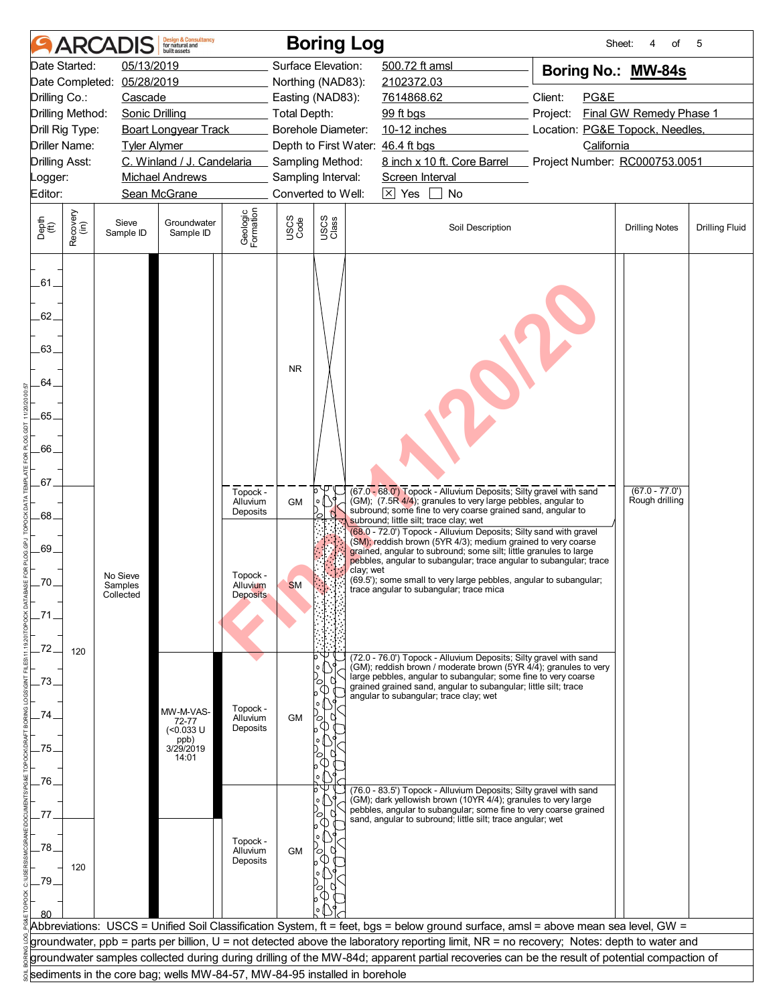|                                         | <b>ARCA</b>                                                               | <b>Design &amp; Consultancy</b><br>for natural and<br>built assets |                       |                     | <b>Boring Log</b>  |                                                                                                                                                                                                                                                                              |                  | Sheet:                                                                                                                                       | of<br>4                            | 5                     |
|-----------------------------------------|---------------------------------------------------------------------------|--------------------------------------------------------------------|-----------------------|---------------------|--------------------|------------------------------------------------------------------------------------------------------------------------------------------------------------------------------------------------------------------------------------------------------------------------------|------------------|----------------------------------------------------------------------------------------------------------------------------------------------|------------------------------------|-----------------------|
| Date Started:                           | 05/13/2019                                                                |                                                                    |                       |                     | Surface Elevation: | 500.72 ft amsl                                                                                                                                                                                                                                                               |                  | Boring No.: MW-84s                                                                                                                           |                                    |                       |
| Date Completed:                         | 05/28/2019                                                                |                                                                    |                       |                     | Northing (NAD83):  | 2102372.03                                                                                                                                                                                                                                                                   |                  |                                                                                                                                              |                                    |                       |
| Drilling Co.:                           | Cascade                                                                   |                                                                    |                       |                     | Easting (NAD83):   | 7614868.62                                                                                                                                                                                                                                                                   |                  | Client:<br>PG&E                                                                                                                              |                                    |                       |
| Drilling Method:                        | Sonic Drilling                                                            |                                                                    |                       | <b>Total Depth:</b> |                    | 99 ft bgs                                                                                                                                                                                                                                                                    |                  | Project:                                                                                                                                     | Final GW Remedy Phase 1            |                       |
| Drill Rig Type:<br><b>Driller Name:</b> |                                                                           | <b>Boart Longyear Track</b>                                        |                       |                     | Borehole Diameter: | 10-12 inches                                                                                                                                                                                                                                                                 |                  | Location: PG&E Topock, Needles,<br>California                                                                                                |                                    |                       |
| <b>Drilling Asst:</b>                   | <b>Tyler Alymer</b>                                                       | C. Winland / J. Candelaria                                         |                       |                     | Sampling Method:   | Depth to First Water: 46.4 ft bgs<br>8 inch x 10 ft. Core Barrel                                                                                                                                                                                                             |                  | Project Number: RC000753.0051                                                                                                                |                                    |                       |
| Logger:                                 |                                                                           | <b>Michael Andrews</b>                                             |                       |                     | Sampling Interval: | Screen Interval                                                                                                                                                                                                                                                              |                  |                                                                                                                                              |                                    |                       |
| Editor:                                 |                                                                           | Sean McGrane                                                       |                       |                     | Converted to Well: | $\boxtimes$ Yes<br>No                                                                                                                                                                                                                                                        |                  |                                                                                                                                              |                                    |                       |
|                                         |                                                                           |                                                                    |                       |                     |                    |                                                                                                                                                                                                                                                                              |                  |                                                                                                                                              |                                    |                       |
| Recovery<br>(in)<br>Depth<br>(ft)       | Sieve<br>Sample ID                                                        | Groundwater<br>Sample ID                                           | Geologic<br>Formation | USCS<br>Code        | USCS<br>Class      |                                                                                                                                                                                                                                                                              | Soil Description |                                                                                                                                              | <b>Drilling Notes</b>              | <b>Drilling Fluid</b> |
| .61.<br>62.                             |                                                                           |                                                                    |                       |                     |                    |                                                                                                                                                                                                                                                                              |                  |                                                                                                                                              |                                    |                       |
| 63.                                     |                                                                           |                                                                    |                       |                     |                    |                                                                                                                                                                                                                                                                              |                  |                                                                                                                                              |                                    |                       |
|                                         |                                                                           |                                                                    |                       | <b>NR</b>           |                    |                                                                                                                                                                                                                                                                              |                  |                                                                                                                                              |                                    |                       |
| 64.                                     |                                                                           |                                                                    |                       |                     |                    |                                                                                                                                                                                                                                                                              |                  |                                                                                                                                              |                                    |                       |
| 65.                                     |                                                                           |                                                                    |                       |                     |                    |                                                                                                                                                                                                                                                                              |                  |                                                                                                                                              |                                    |                       |
| 66.                                     |                                                                           |                                                                    |                       |                     |                    |                                                                                                                                                                                                                                                                              |                  |                                                                                                                                              |                                    |                       |
| .67.                                    |                                                                           |                                                                    | Topock -              |                     | o                  | (67.0 - 68.0') Topock - Alluvium Deposits; Silty gravel with sand<br>(GM); (7.5R 4/4); granules to very large pebbles, angular to                                                                                                                                            |                  |                                                                                                                                              | $(67.0 - 77.0')$<br>Rough drilling |                       |
| .68.                                    |                                                                           |                                                                    | Alluvium<br>Deposits  | <b>GM</b>           |                    | subround; some fine to very coarse grained sand, angular to<br>subround; little silt; trace clay; wet                                                                                                                                                                        |                  |                                                                                                                                              |                                    |                       |
| .69.                                    |                                                                           |                                                                    |                       |                     |                    | (68.0 - 72.0') Topock - Alluvium Deposits; Silty sand with gravel<br>(SM); reddish brown (5YR 4/3); medium grained to very coarse<br>grained, angular to subround; some silt; little granules to large<br>pebbles, angular to subangular; trace angular to subangular; trace |                  |                                                                                                                                              |                                    |                       |
| .70.                                    | No Sieve<br>Samples                                                       |                                                                    | Topock -<br>Alluvium  | <b>SM</b>           | clay; wet          | (69.5'); some small to very large pebbles, angular to subangular;<br>trace angular to subangular; trace mica                                                                                                                                                                 |                  |                                                                                                                                              |                                    |                       |
|                                         | Collected                                                                 |                                                                    | <b>Deposits</b>       |                     |                    |                                                                                                                                                                                                                                                                              |                  |                                                                                                                                              |                                    |                       |
| .72.                                    |                                                                           |                                                                    |                       |                     |                    |                                                                                                                                                                                                                                                                              |                  |                                                                                                                                              |                                    |                       |
| 120                                     |                                                                           |                                                                    |                       |                     |                    | (72.0 - 76.0') Topock - Alluvium Deposits; Silty gravel with sand<br>(GM); reddish brown / moderate brown (5YR 4/4); granules to very<br>large pebbles, angular to subangular; some fine to very coarse                                                                      |                  |                                                                                                                                              |                                    |                       |
| 73.                                     |                                                                           |                                                                    | Topock -              |                     |                    | grained grained sand, angular to subangular; little silt; trace<br>angular to subangular; trace clay; wet                                                                                                                                                                    |                  |                                                                                                                                              |                                    |                       |
| 74                                      |                                                                           | MW-M-VAS-<br>72-77                                                 | Alluvium<br>Deposits  | <b>GM</b>           | Ο                  |                                                                                                                                                                                                                                                                              |                  |                                                                                                                                              |                                    |                       |
|                                         |                                                                           | (<0.033 U<br>ppb)<br>3/29/2019                                     |                       |                     |                    |                                                                                                                                                                                                                                                                              |                  |                                                                                                                                              |                                    |                       |
| 75.                                     |                                                                           | 14:01                                                              |                       |                     |                    |                                                                                                                                                                                                                                                                              |                  |                                                                                                                                              |                                    |                       |
| .76.                                    |                                                                           |                                                                    |                       |                     |                    |                                                                                                                                                                                                                                                                              |                  |                                                                                                                                              |                                    |                       |
|                                         |                                                                           |                                                                    |                       |                     |                    | (76.0 - 83.5') Topock - Alluvium Deposits; Silty gravel with sand<br>(GM); dark yellowish brown (10YR 4/4); granules to very large                                                                                                                                           |                  |                                                                                                                                              |                                    |                       |
| 77                                      |                                                                           |                                                                    |                       |                     |                    | pebbles, angular to subangular; some fine to very coarse grained<br>sand, angular to subround; little silt; trace angular; wet                                                                                                                                               |                  |                                                                                                                                              |                                    |                       |
|                                         |                                                                           |                                                                    |                       |                     |                    |                                                                                                                                                                                                                                                                              |                  |                                                                                                                                              |                                    |                       |
| 78.                                     |                                                                           |                                                                    | Topock -<br>Alluvium  | <b>GM</b>           |                    |                                                                                                                                                                                                                                                                              |                  |                                                                                                                                              |                                    |                       |
| 120                                     |                                                                           |                                                                    | Deposits              |                     |                    |                                                                                                                                                                                                                                                                              |                  |                                                                                                                                              |                                    |                       |
| .79                                     |                                                                           |                                                                    |                       |                     |                    |                                                                                                                                                                                                                                                                              |                  |                                                                                                                                              |                                    |                       |
|                                         |                                                                           |                                                                    |                       |                     |                    |                                                                                                                                                                                                                                                                              |                  |                                                                                                                                              |                                    |                       |
|                                         |                                                                           |                                                                    |                       |                     |                    |                                                                                                                                                                                                                                                                              |                  | Abbreviations: USCS = Unified Soil Classification System, ft = feet, bgs = below ground surface, amsl = above mean sea level, GW =           |                                    |                       |
|                                         |                                                                           |                                                                    |                       |                     |                    |                                                                                                                                                                                                                                                                              |                  | groundwater, ppb = parts per billion, U = not detected above the laboratory reporting limit, NR = no recovery; Notes: depth to water and     |                                    |                       |
|                                         |                                                                           |                                                                    |                       |                     |                    |                                                                                                                                                                                                                                                                              |                  | groundwater samples collected during during drilling of the MW-84d; apparent partial recoveries can be the result of potential compaction of |                                    |                       |
|                                         | sediments in the core bag; wells MW-84-57, MW-84-95 installed in borehole |                                                                    |                       |                     |                    |                                                                                                                                                                                                                                                                              |                  |                                                                                                                                              |                                    |                       |